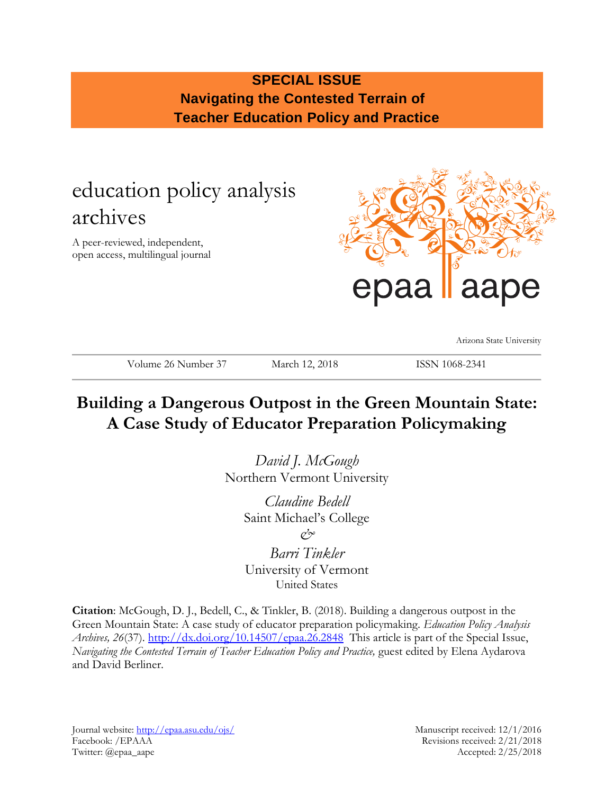# **SPECIAL ISSUE Navigating the Contested Terrain of Teacher Education Policy and Practice**

# education policy analysis archives

A peer-reviewed, independent, open access, multilingual journal



Arizona State University

Volume 26 Number 37 March 12, 2018 ISSN 1068-2341

# **Building a Dangerous Outpost in the Green Mountain State: A Case Study of Educator Preparation Policymaking**

*David J. McGough* Northern Vermont University

> *Claudine Bedell* Saint Michael's College *& Barri Tinkler* University of Vermont

> > United States

**Citation**: McGough, D. J., Bedell, C., & Tinkler, B. (2018). Building a dangerous outpost in the Green Mountain State: A case study of educator preparation policymaking. *Education Policy Analysis Archives, 26*(37).<http://dx.doi.org/10.14507/epaa.26.2848>This article is part of the Special Issue, *Navigating the Contested Terrain of Teacher Education Policy and Practice,* guest edited by Elena Aydarova and David Berliner.

Journal website:<http://epaa.asu.edu/ojs/> Manuscript received: 12/1/2016 Facebook: /EPAAA Revisions received: 2/21/2018 Twitter: @epaa\_aape Accepted: 2/25/2018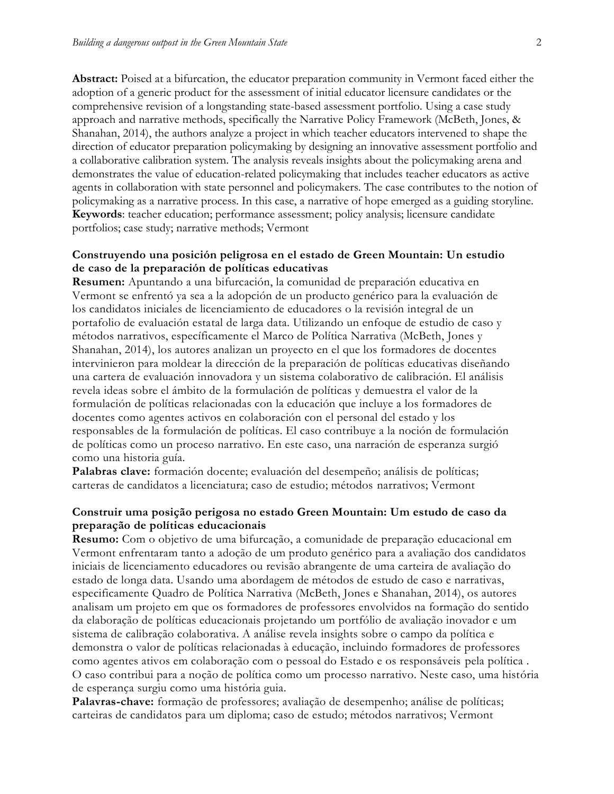**Abstract:** Poised at a bifurcation, the educator preparation community in Vermont faced either the adoption of a generic product for the assessment of initial educator licensure candidates or the comprehensive revision of a longstanding state-based assessment portfolio. Using a case study approach and narrative methods, specifically the Narrative Policy Framework (McBeth, Jones, & Shanahan, 2014), the authors analyze a project in which teacher educators intervened to shape the direction of educator preparation policymaking by designing an innovative assessment portfolio and a collaborative calibration system. The analysis reveals insights about the policymaking arena and demonstrates the value of education-related policymaking that includes teacher educators as active agents in collaboration with state personnel and policymakers. The case contributes to the notion of policymaking as a narrative process. In this case, a narrative of hope emerged as a guiding storyline. **Keywords**: teacher education; performance assessment; policy analysis; licensure candidate portfolios; case study; narrative methods; Vermont

#### **Construyendo una posición peligrosa en el estado de Green Mountain: Un estudio de caso de la preparación de políticas educativas**

**Resumen:** Apuntando a una bifurcación, la comunidad de preparación educativa en Vermont se enfrentó ya sea a la adopción de un producto genérico para la evaluación de los candidatos iniciales de licenciamiento de educadores o la revisión integral de un portafolio de evaluación estatal de larga data. Utilizando un enfoque de estudio de caso y métodos narrativos, específicamente el Marco de Política Narrativa (McBeth, Jones y Shanahan, 2014), los autores analizan un proyecto en el que los formadores de docentes intervinieron para moldear la dirección de la preparación de políticas educativas diseñando una cartera de evaluación innovadora y un sistema colaborativo de calibración. El análisis revela ideas sobre el ámbito de la formulación de políticas y demuestra el valor de la formulación de políticas relacionadas con la educación que incluye a los formadores de docentes como agentes activos en colaboración con el personal del estado y los responsables de la formulación de políticas. El caso contribuye a la noción de formulación de políticas como un proceso narrativo. En este caso, una narración de esperanza surgió como una historia guía.

**Palabras clave:** formación docente; evaluación del desempeño; análisis de políticas; carteras de candidatos a licenciatura; caso de estudio; métodos narrativos; Vermont

#### **Construir uma posição perigosa no estado Green Mountain: Um estudo de caso da preparação de políticas educacionais**

**Resumo:** Com o objetivo de uma bifurcação, a comunidade de preparação educacional em Vermont enfrentaram tanto a adoção de um produto genérico para a avaliação dos candidatos iniciais de licenciamento educadores ou revisão abrangente de uma carteira de avaliação do estado de longa data. Usando uma abordagem de métodos de estudo de caso e narrativas, especificamente Quadro de Política Narrativa (McBeth, Jones e Shanahan, 2014), os autores analisam um projeto em que os formadores de professores envolvidos na formação do sentido da elaboração de políticas educacionais projetando um portfólio de avaliação inovador e um sistema de calibração colaborativa. A análise revela insights sobre o campo da política e demonstra o valor de políticas relacionadas à educação, incluindo formadores de professores como agentes ativos em colaboração com o pessoal do Estado e os responsáveis pela política . O caso contribui para a noção de política como um processo narrativo. Neste caso, uma história de esperança surgiu como uma história guia.

**Palavras-chave:** formação de professores; avaliação de desempenho; análise de políticas; carteiras de candidatos para um diploma; caso de estudo; métodos narrativos; Vermont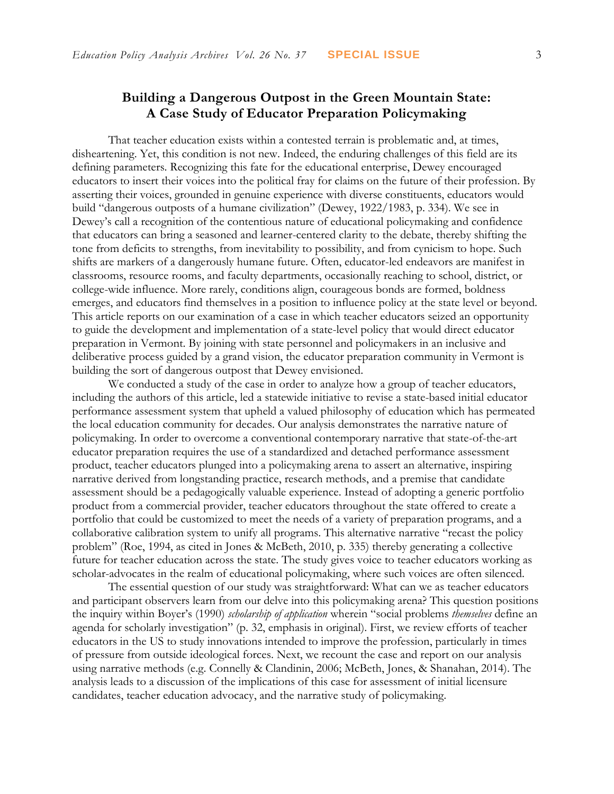## **Building a Dangerous Outpost in the Green Mountain State: A Case Study of Educator Preparation Policymaking**

That teacher education exists within a contested terrain is problematic and, at times, disheartening. Yet, this condition is not new. Indeed, the enduring challenges of this field are its defining parameters. Recognizing this fate for the educational enterprise, Dewey encouraged educators to insert their voices into the political fray for claims on the future of their profession. By asserting their voices, grounded in genuine experience with diverse constituents, educators would build "dangerous outposts of a humane civilization" (Dewey, 1922/1983, p. 334). We see in Dewey's call a recognition of the contentious nature of educational policymaking and confidence that educators can bring a seasoned and learner-centered clarity to the debate, thereby shifting the tone from deficits to strengths, from inevitability to possibility, and from cynicism to hope. Such shifts are markers of a dangerously humane future. Often, educator-led endeavors are manifest in classrooms, resource rooms, and faculty departments, occasionally reaching to school, district, or college-wide influence. More rarely, conditions align, courageous bonds are formed, boldness emerges, and educators find themselves in a position to influence policy at the state level or beyond. This article reports on our examination of a case in which teacher educators seized an opportunity to guide the development and implementation of a state-level policy that would direct educator preparation in Vermont. By joining with state personnel and policymakers in an inclusive and deliberative process guided by a grand vision, the educator preparation community in Vermont is building the sort of dangerous outpost that Dewey envisioned.

We conducted a study of the case in order to analyze how a group of teacher educators, including the authors of this article, led a statewide initiative to revise a state-based initial educator performance assessment system that upheld a valued philosophy of education which has permeated the local education community for decades. Our analysis demonstrates the narrative nature of policymaking. In order to overcome a conventional contemporary narrative that state-of-the-art educator preparation requires the use of a standardized and detached performance assessment product, teacher educators plunged into a policymaking arena to assert an alternative, inspiring narrative derived from longstanding practice, research methods, and a premise that candidate assessment should be a pedagogically valuable experience. Instead of adopting a generic portfolio product from a commercial provider, teacher educators throughout the state offered to create a portfolio that could be customized to meet the needs of a variety of preparation programs, and a collaborative calibration system to unify all programs. This alternative narrative "recast the policy problem" (Roe, 1994, as cited in Jones & McBeth, 2010, p. 335) thereby generating a collective future for teacher education across the state. The study gives voice to teacher educators working as scholar-advocates in the realm of educational policymaking, where such voices are often silenced.

The essential question of our study was straightforward: What can we as teacher educators and participant observers learn from our delve into this policymaking arena? This question positions the inquiry within Boyer's (1990) *scholarship of application* wherein "social problems *themselves* define an agenda for scholarly investigation" (p. 32, emphasis in original). First, we review efforts of teacher educators in the US to study innovations intended to improve the profession, particularly in times of pressure from outside ideological forces. Next, we recount the case and report on our analysis using narrative methods (e.g. Connelly & Clandinin, 2006; McBeth, Jones, & Shanahan, 2014). The analysis leads to a discussion of the implications of this case for assessment of initial licensure candidates, teacher education advocacy, and the narrative study of policymaking.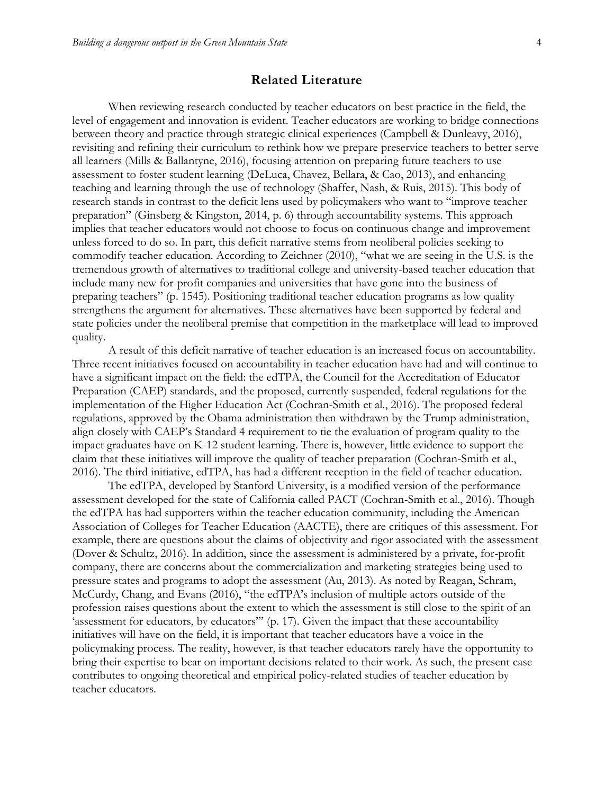#### **Related Literature**

When reviewing research conducted by teacher educators on best practice in the field, the level of engagement and innovation is evident. Teacher educators are working to bridge connections between theory and practice through strategic clinical experiences (Campbell & Dunleavy, 2016), revisiting and refining their curriculum to rethink how we prepare preservice teachers to better serve all learners (Mills & Ballantyne, 2016), focusing attention on preparing future teachers to use assessment to foster student learning (DeLuca, Chavez, Bellara, & Cao, 2013), and enhancing teaching and learning through the use of technology (Shaffer, Nash, & Ruis, 2015). This body of research stands in contrast to the deficit lens used by policymakers who want to "improve teacher preparation" (Ginsberg & Kingston, 2014, p. 6) through accountability systems. This approach implies that teacher educators would not choose to focus on continuous change and improvement unless forced to do so. In part, this deficit narrative stems from neoliberal policies seeking to commodify teacher education. According to Zeichner (2010), "what we are seeing in the U.S. is the tremendous growth of alternatives to traditional college and university-based teacher education that include many new for-profit companies and universities that have gone into the business of preparing teachers" (p. 1545). Positioning traditional teacher education programs as low quality strengthens the argument for alternatives. These alternatives have been supported by federal and state policies under the neoliberal premise that competition in the marketplace will lead to improved quality.

A result of this deficit narrative of teacher education is an increased focus on accountability. Three recent initiatives focused on accountability in teacher education have had and will continue to have a significant impact on the field: the edTPA, the Council for the Accreditation of Educator Preparation (CAEP) standards, and the proposed, currently suspended, federal regulations for the implementation of the Higher Education Act (Cochran-Smith et al., 2016). The proposed federal regulations, approved by the Obama administration then withdrawn by the Trump administration, align closely with CAEP's Standard 4 requirement to tie the evaluation of program quality to the impact graduates have on K-12 student learning. There is, however, little evidence to support the claim that these initiatives will improve the quality of teacher preparation (Cochran-Smith et al., 2016). The third initiative, edTPA, has had a different reception in the field of teacher education.

The edTPA, developed by Stanford University, is a modified version of the performance assessment developed for the state of California called PACT (Cochran-Smith et al., 2016). Though the edTPA has had supporters within the teacher education community, including the American Association of Colleges for Teacher Education (AACTE), there are critiques of this assessment. For example, there are questions about the claims of objectivity and rigor associated with the assessment (Dover & Schultz, 2016). In addition, since the assessment is administered by a private, for-profit company, there are concerns about the commercialization and marketing strategies being used to pressure states and programs to adopt the assessment (Au, 2013). As noted by Reagan, Schram, McCurdy, Chang, and Evans (2016), "the edTPA's inclusion of multiple actors outside of the profession raises questions about the extent to which the assessment is still close to the spirit of an 'assessment for educators, by educators'" (p. 17). Given the impact that these accountability initiatives will have on the field, it is important that teacher educators have a voice in the policymaking process. The reality, however, is that teacher educators rarely have the opportunity to bring their expertise to bear on important decisions related to their work. As such, the present case contributes to ongoing theoretical and empirical policy-related studies of teacher education by teacher educators.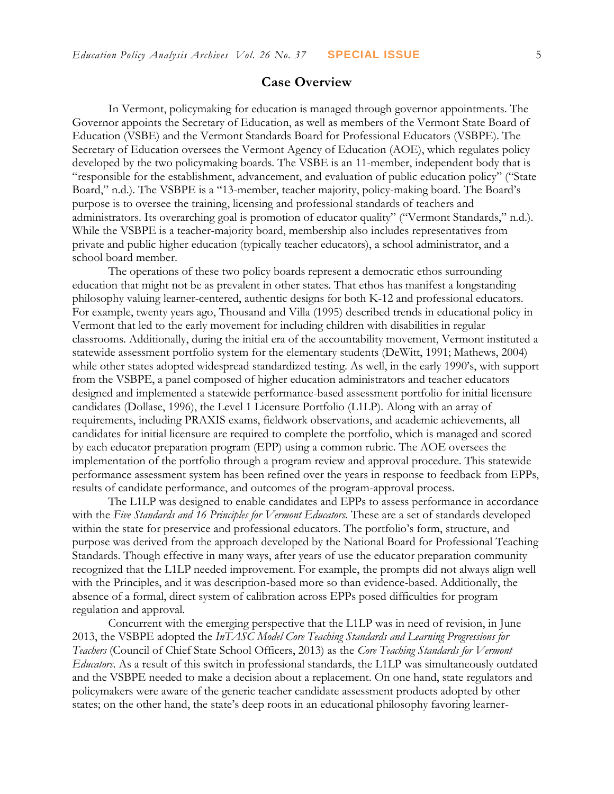#### **Case Overview**

In Vermont, policymaking for education is managed through governor appointments. The Governor appoints the Secretary of Education, as well as members of the Vermont State Board of Education (VSBE) and the Vermont Standards Board for Professional Educators (VSBPE). The Secretary of Education oversees the Vermont Agency of Education (AOE), which regulates policy developed by the two policymaking boards. The VSBE is an 11-member, independent body that is "responsible for the establishment, advancement, and evaluation of public education policy" ("State Board," n.d.). The VSBPE is a "13-member, teacher majority, policy-making board. The Board's purpose is to oversee the training, licensing and professional standards of teachers and administrators. Its overarching goal is promotion of educator quality" ("Vermont Standards," n.d.). While the VSBPE is a teacher-majority board, membership also includes representatives from private and public higher education (typically teacher educators), a school administrator, and a school board member.

The operations of these two policy boards represent a democratic ethos surrounding education that might not be as prevalent in other states. That ethos has manifest a longstanding philosophy valuing learner-centered, authentic designs for both K-12 and professional educators. For example, twenty years ago, Thousand and Villa (1995) described trends in educational policy in Vermont that led to the early movement for including children with disabilities in regular classrooms. Additionally, during the initial era of the accountability movement, Vermont instituted a statewide assessment portfolio system for the elementary students (DeWitt, 1991; Mathews, 2004) while other states adopted widespread standardized testing. As well, in the early 1990's, with support from the VSBPE, a panel composed of higher education administrators and teacher educators designed and implemented a statewide performance-based assessment portfolio for initial licensure candidates (Dollase, 1996), the Level 1 Licensure Portfolio (L1LP). Along with an array of requirements, including PRAXIS exams, fieldwork observations, and academic achievements, all candidates for initial licensure are required to complete the portfolio, which is managed and scored by each educator preparation program (EPP) using a common rubric. The AOE oversees the implementation of the portfolio through a program review and approval procedure. This statewide performance assessment system has been refined over the years in response to feedback from EPPs, results of candidate performance, and outcomes of the program-approval process.

The L1LP was designed to enable candidates and EPPs to assess performance in accordance with the *Five Standards and 16 Principles for Vermont Educators.* These are a set of standards developed within the state for preservice and professional educators. The portfolio's form, structure, and purpose was derived from the approach developed by the National Board for Professional Teaching Standards. Though effective in many ways, after years of use the educator preparation community recognized that the L1LP needed improvement. For example, the prompts did not always align well with the Principles, and it was description-based more so than evidence-based. Additionally, the absence of a formal, direct system of calibration across EPPs posed difficulties for program regulation and approval.

Concurrent with the emerging perspective that the L1LP was in need of revision, in June 2013, the VSBPE adopted the *InTASC Model Core Teaching Standards and Learning Progressions for Teachers* (Council of Chief State School Officers, 2013) as the *Core Teaching Standards for Vermont Educators*. As a result of this switch in professional standards, the L1LP was simultaneously outdated and the VSBPE needed to make a decision about a replacement. On one hand, state regulators and policymakers were aware of the generic teacher candidate assessment products adopted by other states; on the other hand, the state's deep roots in an educational philosophy favoring learner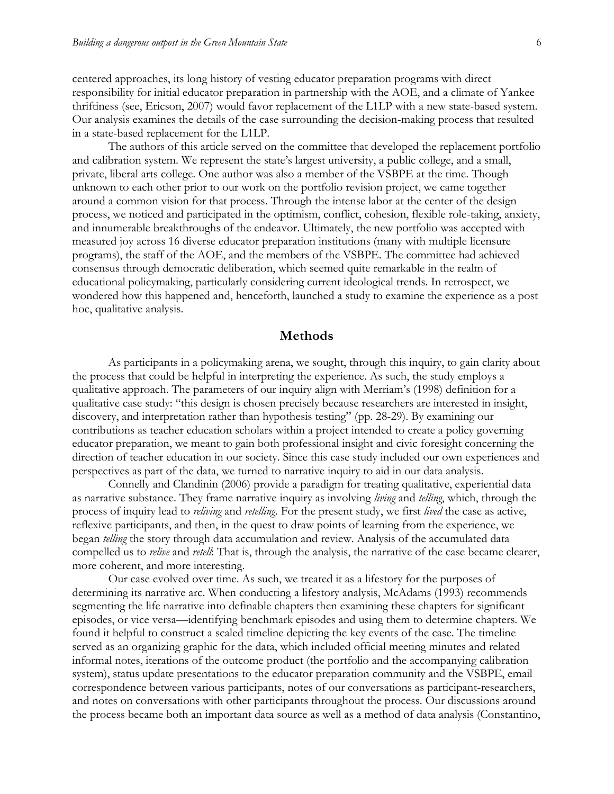centered approaches, its long history of vesting educator preparation programs with direct responsibility for initial educator preparation in partnership with the AOE, and a climate of Yankee thriftiness (see, Ericson, 2007) would favor replacement of the L1LP with a new state-based system. Our analysis examines the details of the case surrounding the decision-making process that resulted in a state-based replacement for the L1LP.

The authors of this article served on the committee that developed the replacement portfolio and calibration system. We represent the state's largest university, a public college, and a small, private, liberal arts college. One author was also a member of the VSBPE at the time. Though unknown to each other prior to our work on the portfolio revision project, we came together around a common vision for that process. Through the intense labor at the center of the design process, we noticed and participated in the optimism, conflict, cohesion, flexible role-taking, anxiety, and innumerable breakthroughs of the endeavor. Ultimately, the new portfolio was accepted with measured joy across 16 diverse educator preparation institutions (many with multiple licensure programs), the staff of the AOE, and the members of the VSBPE. The committee had achieved consensus through democratic deliberation, which seemed quite remarkable in the realm of educational policymaking, particularly considering current ideological trends. In retrospect, we wondered how this happened and, henceforth, launched a study to examine the experience as a post hoc, qualitative analysis.

#### **Methods**

As participants in a policymaking arena, we sought, through this inquiry, to gain clarity about the process that could be helpful in interpreting the experience. As such, the study employs a qualitative approach. The parameters of our inquiry align with Merriam's (1998) definition for a qualitative case study: "this design is chosen precisely because researchers are interested in insight, discovery, and interpretation rather than hypothesis testing" (pp. 28-29). By examining our contributions as teacher education scholars within a project intended to create a policy governing educator preparation, we meant to gain both professional insight and civic foresight concerning the direction of teacher education in our society. Since this case study included our own experiences and perspectives as part of the data, we turned to narrative inquiry to aid in our data analysis.

Connelly and Clandinin (2006) provide a paradigm for treating qualitative, experiential data as narrative substance. They frame narrative inquiry as involving *living* and *telling*, which, through the process of inquiry lead to *reliving* and *retelling*. For the present study, we first *lived* the case as active, reflexive participants, and then, in the quest to draw points of learning from the experience, we began *telling* the story through data accumulation and review. Analysis of the accumulated data compelled us to *relive* and *retell*: That is, through the analysis, the narrative of the case became clearer, more coherent, and more interesting.

Our case evolved over time. As such, we treated it as a lifestory for the purposes of determining its narrative arc. When conducting a lifestory analysis, McAdams (1993) recommends segmenting the life narrative into definable chapters then examining these chapters for significant episodes, or vice versa—identifying benchmark episodes and using them to determine chapters. We found it helpful to construct a scaled timeline depicting the key events of the case. The timeline served as an organizing graphic for the data, which included official meeting minutes and related informal notes, iterations of the outcome product (the portfolio and the accompanying calibration system), status update presentations to the educator preparation community and the VSBPE, email correspondence between various participants, notes of our conversations as participant-researchers, and notes on conversations with other participants throughout the process. Our discussions around the process became both an important data source as well as a method of data analysis (Constantino,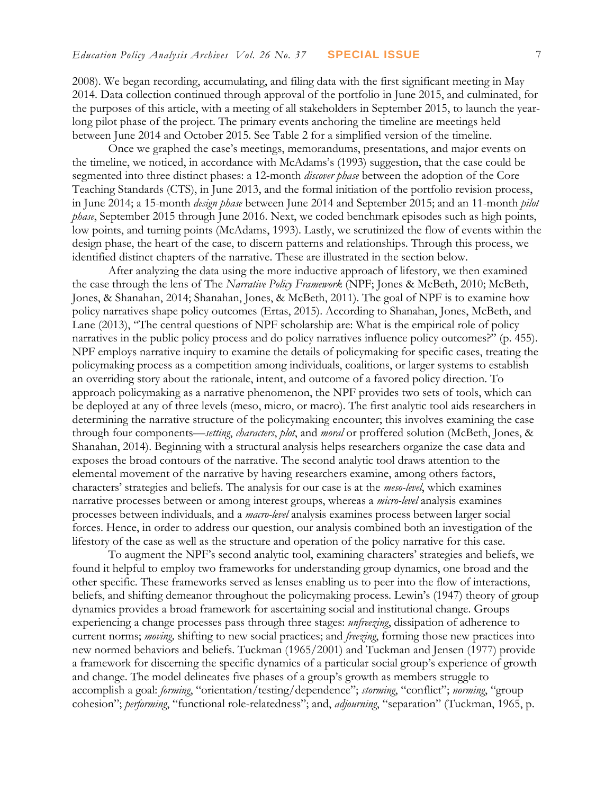2008). We began recording, accumulating, and filing data with the first significant meeting in May 2014. Data collection continued through approval of the portfolio in June 2015, and culminated, for the purposes of this article, with a meeting of all stakeholders in September 2015, to launch the yearlong pilot phase of the project. The primary events anchoring the timeline are meetings held between June 2014 and October 2015. See Table 2 for a simplified version of the timeline.

Once we graphed the case's meetings, memorandums, presentations, and major events on the timeline, we noticed, in accordance with McAdams's (1993) suggestion, that the case could be segmented into three distinct phases: a 12-month *discover phase* between the adoption of the Core Teaching Standards (CTS), in June 2013, and the formal initiation of the portfolio revision process, in June 2014; a 15-month *design phase* between June 2014 and September 2015; and an 11-month *pilot phase*, September 2015 through June 2016. Next, we coded benchmark episodes such as high points, low points, and turning points (McAdams, 1993). Lastly, we scrutinized the flow of events within the design phase, the heart of the case, to discern patterns and relationships. Through this process, we identified distinct chapters of the narrative. These are illustrated in the section below.

After analyzing the data using the more inductive approach of lifestory, we then examined the case through the lens of The *Narrative Policy Framework* (NPF; Jones & McBeth, 2010; McBeth, Jones, & Shanahan, 2014; Shanahan, Jones, & McBeth, 2011). The goal of NPF is to examine how policy narratives shape policy outcomes (Ertas, 2015). According to Shanahan, Jones, McBeth, and Lane (2013), "The central questions of NPF scholarship are: What is the empirical role of policy narratives in the public policy process and do policy narratives influence policy outcomes?" (p. 455). NPF employs narrative inquiry to examine the details of policymaking for specific cases, treating the policymaking process as a competition among individuals, coalitions, or larger systems to establish an overriding story about the rationale, intent, and outcome of a favored policy direction. To approach policymaking as a narrative phenomenon, the NPF provides two sets of tools, which can be deployed at any of three levels (meso, micro, or macro). The first analytic tool aids researchers in determining the narrative structure of the policymaking encounter; this involves examining the case through four components—*setting*, *characters*, *plot*, and *moral* or proffered solution (McBeth, Jones, & Shanahan, 2014). Beginning with a structural analysis helps researchers organize the case data and exposes the broad contours of the narrative. The second analytic tool draws attention to the elemental movement of the narrative by having researchers examine, among others factors, characters' strategies and beliefs. The analysis for our case is at the *meso-level*, which examines narrative processes between or among interest groups, whereas a *micro-level* analysis examines processes between individuals, and a *macro-level* analysis examines process between larger social forces. Hence, in order to address our question, our analysis combined both an investigation of the lifestory of the case as well as the structure and operation of the policy narrative for this case.

To augment the NPF's second analytic tool, examining characters' strategies and beliefs, we found it helpful to employ two frameworks for understanding group dynamics, one broad and the other specific. These frameworks served as lenses enabling us to peer into the flow of interactions, beliefs, and shifting demeanor throughout the policymaking process. Lewin's (1947) theory of group dynamics provides a broad framework for ascertaining social and institutional change. Groups experiencing a change processes pass through three stages: *unfreezing*, dissipation of adherence to current norms; *moving,* shifting to new social practices; and *freezing*, forming those new practices into new normed behaviors and beliefs. Tuckman (1965/2001) and Tuckman and Jensen (1977) provide a framework for discerning the specific dynamics of a particular social group's experience of growth and change. The model delineates five phases of a group's growth as members struggle to accomplish a goal: *forming*, "orientation/testing/dependence"; *storming*, "conflict"; *norming*, "group cohesion"; *performing*, "functional role-relatedness"; and, *adjourning*, "separation" (Tuckman, 1965, p.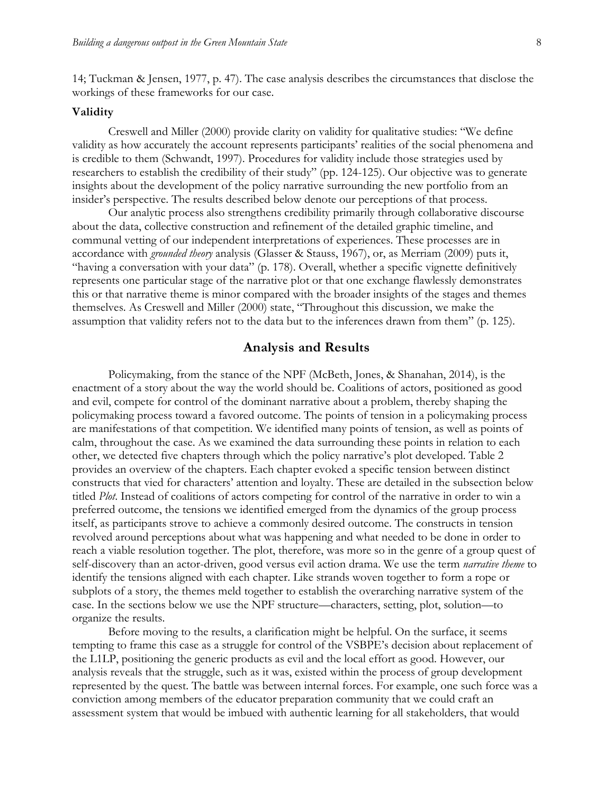14; Tuckman & Jensen, 1977, p. 47). The case analysis describes the circumstances that disclose the workings of these frameworks for our case.

#### **Validity**

Creswell and Miller (2000) provide clarity on validity for qualitative studies: "We define validity as how accurately the account represents participants' realities of the social phenomena and is credible to them (Schwandt, 1997). Procedures for validity include those strategies used by researchers to establish the credibility of their study" (pp. 124-125). Our objective was to generate insights about the development of the policy narrative surrounding the new portfolio from an insider's perspective. The results described below denote our perceptions of that process.

Our analytic process also strengthens credibility primarily through collaborative discourse about the data, collective construction and refinement of the detailed graphic timeline, and communal vetting of our independent interpretations of experiences. These processes are in accordance with *grounded theory* analysis (Glasser & Stauss, 1967), or, as Merriam (2009) puts it, "having a conversation with your data" (p. 178). Overall, whether a specific vignette definitively represents one particular stage of the narrative plot or that one exchange flawlessly demonstrates this or that narrative theme is minor compared with the broader insights of the stages and themes themselves. As Creswell and Miller (2000) state, "Throughout this discussion, we make the assumption that validity refers not to the data but to the inferences drawn from them" (p. 125).

#### **Analysis and Results**

Policymaking, from the stance of the NPF (McBeth, Jones, & Shanahan, 2014), is the enactment of a story about the way the world should be. Coalitions of actors, positioned as good and evil, compete for control of the dominant narrative about a problem, thereby shaping the policymaking process toward a favored outcome. The points of tension in a policymaking process are manifestations of that competition. We identified many points of tension, as well as points of calm, throughout the case. As we examined the data surrounding these points in relation to each other, we detected five chapters through which the policy narrative's plot developed. Table 2 provides an overview of the chapters. Each chapter evoked a specific tension between distinct constructs that vied for characters' attention and loyalty. These are detailed in the subsection below titled *Plot*. Instead of coalitions of actors competing for control of the narrative in order to win a preferred outcome, the tensions we identified emerged from the dynamics of the group process itself, as participants strove to achieve a commonly desired outcome. The constructs in tension revolved around perceptions about what was happening and what needed to be done in order to reach a viable resolution together. The plot, therefore, was more so in the genre of a group quest of self-discovery than an actor-driven, good versus evil action drama. We use the term *narrative theme* to identify the tensions aligned with each chapter. Like strands woven together to form a rope or subplots of a story, the themes meld together to establish the overarching narrative system of the case. In the sections below we use the NPF structure—characters, setting, plot, solution—to organize the results.

Before moving to the results, a clarification might be helpful. On the surface, it seems tempting to frame this case as a struggle for control of the VSBPE's decision about replacement of the L1LP, positioning the generic products as evil and the local effort as good. However, our analysis reveals that the struggle, such as it was, existed within the process of group development represented by the quest. The battle was between internal forces. For example, one such force was a conviction among members of the educator preparation community that we could craft an assessment system that would be imbued with authentic learning for all stakeholders, that would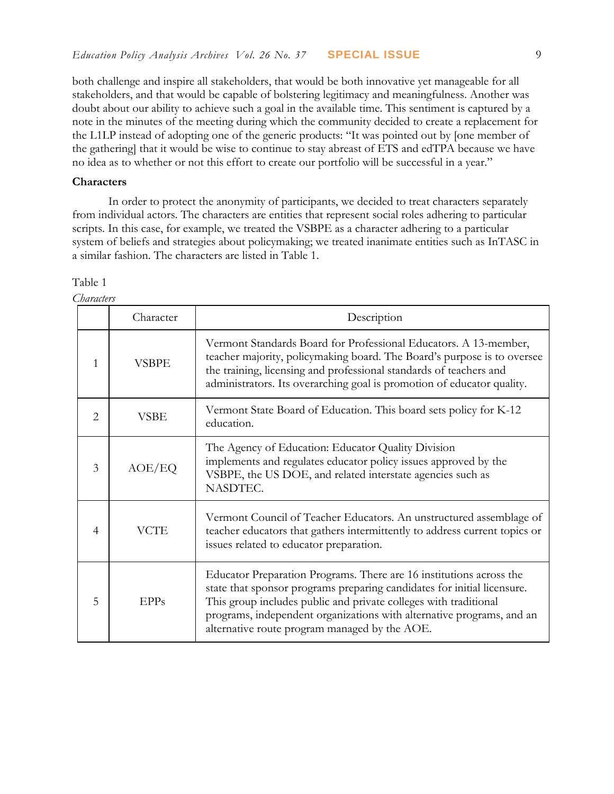both challenge and inspire all stakeholders, that would be both innovative yet manageable for all stakeholders, and that would be capable of bolstering legitimacy and meaningfulness. Another was doubt about our ability to achieve such a goal in the available time. This sentiment is captured by a note in the minutes of the meeting during which the community decided to create a replacement for the L1LP instead of adopting one of the generic products: "It was pointed out by [one member of the gathering] that it would be wise to continue to stay abreast of ETS and edTPA because we have no idea as to whether or not this effort to create our portfolio will be successful in a year."

#### **Characters**

In order to protect the anonymity of participants, we decided to treat characters separately from individual actors. The characters are entities that represent social roles adhering to particular scripts. In this case, for example, we treated the VSBPE as a character adhering to a particular system of beliefs and strategies about policymaking; we treated inanimate entities such as InTASC in a similar fashion. The characters are listed in Table 1.

|                | Character   | Description                                                                                                                                                                                                                                                                                                                                  |
|----------------|-------------|----------------------------------------------------------------------------------------------------------------------------------------------------------------------------------------------------------------------------------------------------------------------------------------------------------------------------------------------|
| 1              | VSBPE       | Vermont Standards Board for Professional Educators. A 13-member,<br>teacher majority, policymaking board. The Board's purpose is to oversee<br>the training, licensing and professional standards of teachers and<br>administrators. Its overarching goal is promotion of educator quality.                                                  |
| $\overline{2}$ | <b>VSBE</b> | Vermont State Board of Education. This board sets policy for K-12<br>education.                                                                                                                                                                                                                                                              |
| 3              | AOE/EQ      | The Agency of Education: Educator Quality Division<br>implements and regulates educator policy issues approved by the<br>VSBPE, the US DOE, and related interstate agencies such as<br>NASDTEC.                                                                                                                                              |
| $\overline{4}$ | <b>VCTE</b> | Vermont Council of Teacher Educators. An unstructured assemblage of<br>teacher educators that gathers intermittently to address current topics or<br>issues related to educator preparation.                                                                                                                                                 |
| 5              | EPPs        | Educator Preparation Programs. There are 16 institutions across the<br>state that sponsor programs preparing candidates for initial licensure.<br>This group includes public and private colleges with traditional<br>programs, independent organizations with alternative programs, and an<br>alternative route program managed by the AOE. |

Table 1 *Characters*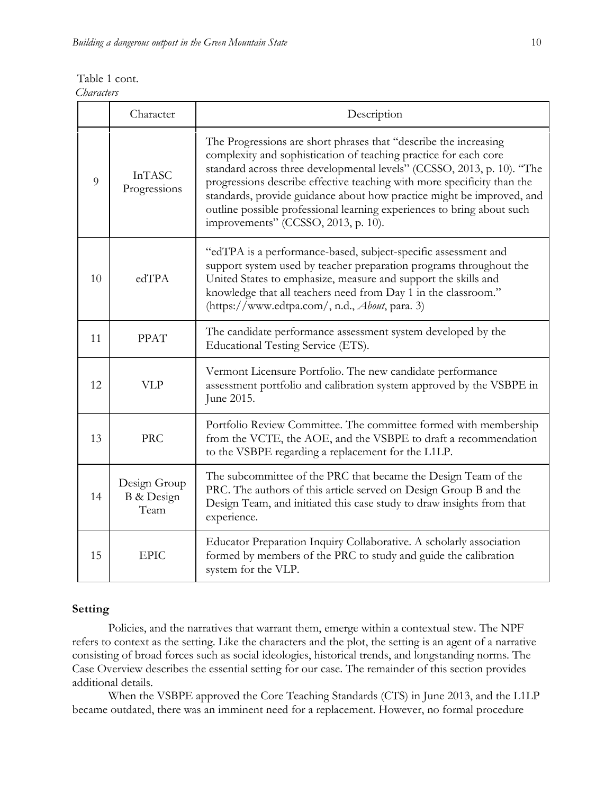| Table 1 cont.     |  |
|-------------------|--|
| <i>Characters</i> |  |

|    | Character                          | Description                                                                                                                                                                                                                                                                                                                                                                                                                                                                         |
|----|------------------------------------|-------------------------------------------------------------------------------------------------------------------------------------------------------------------------------------------------------------------------------------------------------------------------------------------------------------------------------------------------------------------------------------------------------------------------------------------------------------------------------------|
| 9  | <b>InTASC</b><br>Progressions      | The Progressions are short phrases that "describe the increasing<br>complexity and sophistication of teaching practice for each core<br>standard across three developmental levels" (CCSSO, 2013, p. 10). "The<br>progressions describe effective teaching with more specificity than the<br>standards, provide guidance about how practice might be improved, and<br>outline possible professional learning experiences to bring about such<br>improvements" (CCSSO, 2013, p. 10). |
| 10 | edTPA                              | "edTPA is a performance-based, subject-specific assessment and<br>support system used by teacher preparation programs throughout the<br>United States to emphasize, measure and support the skills and<br>knowledge that all teachers need from Day 1 in the classroom."<br>(https://www.edtpa.com/, n.d., About, para. 3)                                                                                                                                                          |
| 11 | <b>PPAT</b>                        | The candidate performance assessment system developed by the<br>Educational Testing Service (ETS).                                                                                                                                                                                                                                                                                                                                                                                  |
| 12 | <b>VLP</b>                         | Vermont Licensure Portfolio. The new candidate performance<br>assessment portfolio and calibration system approved by the VSBPE in<br>June 2015.                                                                                                                                                                                                                                                                                                                                    |
| 13 | <b>PRC</b>                         | Portfolio Review Committee. The committee formed with membership<br>from the VCTE, the AOE, and the VSBPE to draft a recommendation<br>to the VSBPE regarding a replacement for the L1LP.                                                                                                                                                                                                                                                                                           |
| 14 | Design Group<br>B & Design<br>Team | The subcommittee of the PRC that became the Design Team of the<br>PRC. The authors of this article served on Design Group B and the<br>Design Team, and initiated this case study to draw insights from that<br>experience.                                                                                                                                                                                                                                                         |
| 15 | <b>EPIC</b>                        | Educator Preparation Inquiry Collaborative. A scholarly association<br>formed by members of the PRC to study and guide the calibration<br>system for the VLP.                                                                                                                                                                                                                                                                                                                       |

#### **Setting**

Policies, and the narratives that warrant them, emerge within a contextual stew. The NPF refers to context as the setting. Like the characters and the plot, the setting is an agent of a narrative consisting of broad forces such as social ideologies, historical trends, and longstanding norms. The Case Overview describes the essential setting for our case. The remainder of this section provides additional details.

When the VSBPE approved the Core Teaching Standards (CTS) in June 2013, and the L1LP became outdated, there was an imminent need for a replacement. However, no formal procedure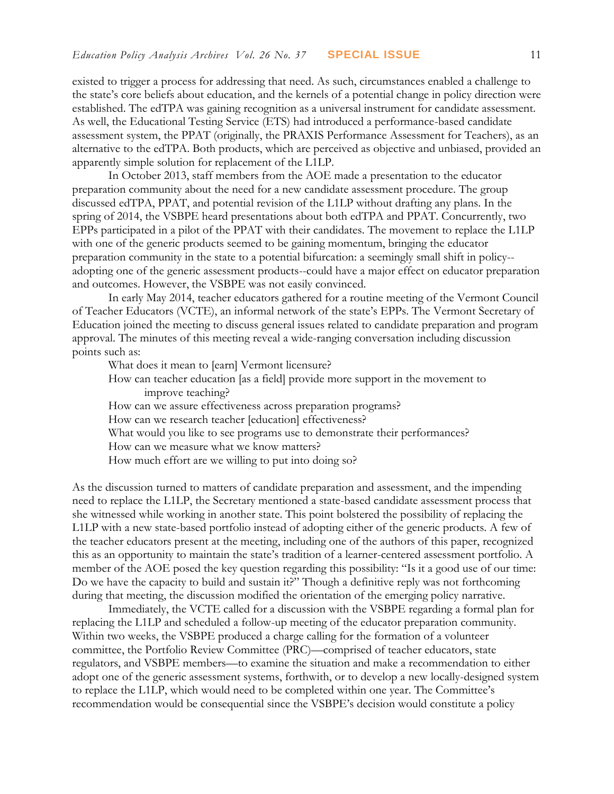existed to trigger a process for addressing that need. As such, circumstances enabled a challenge to the state's core beliefs about education, and the kernels of a potential change in policy direction were established. The edTPA was gaining recognition as a universal instrument for candidate assessment. As well, the Educational Testing Service (ETS) had introduced a performance-based candidate assessment system, the PPAT (originally, the PRAXIS Performance Assessment for Teachers), as an alternative to the edTPA. Both products, which are perceived as objective and unbiased, provided an apparently simple solution for replacement of the L1LP.

In October 2013, staff members from the AOE made a presentation to the educator preparation community about the need for a new candidate assessment procedure. The group discussed edTPA, PPAT, and potential revision of the L1LP without drafting any plans. In the spring of 2014, the VSBPE heard presentations about both edTPA and PPAT. Concurrently, two EPPs participated in a pilot of the PPAT with their candidates. The movement to replace the L1LP with one of the generic products seemed to be gaining momentum, bringing the educator preparation community in the state to a potential bifurcation: a seemingly small shift in policy- adopting one of the generic assessment products--could have a major effect on educator preparation and outcomes. However, the VSBPE was not easily convinced.

In early May 2014, teacher educators gathered for a routine meeting of the Vermont Council of Teacher Educators (VCTE), an informal network of the state's EPPs. The Vermont Secretary of Education joined the meeting to discuss general issues related to candidate preparation and program approval. The minutes of this meeting reveal a wide-ranging conversation including discussion points such as:

What does it mean to [earn] Vermont licensure?

- How can teacher education [as a field] provide more support in the movement to improve teaching?
- How can we assure effectiveness across preparation programs?
- How can we research teacher [education] effectiveness?
- What would you like to see programs use to demonstrate their performances?
- How can we measure what we know matters?
- How much effort are we willing to put into doing so?

As the discussion turned to matters of candidate preparation and assessment, and the impending need to replace the L1LP, the Secretary mentioned a state-based candidate assessment process that she witnessed while working in another state. This point bolstered the possibility of replacing the L1LP with a new state-based portfolio instead of adopting either of the generic products. A few of the teacher educators present at the meeting, including one of the authors of this paper, recognized this as an opportunity to maintain the state's tradition of a learner-centered assessment portfolio. A member of the AOE posed the key question regarding this possibility: "Is it a good use of our time: Do we have the capacity to build and sustain it?" Though a definitive reply was not forthcoming during that meeting, the discussion modified the orientation of the emerging policy narrative.

Immediately, the VCTE called for a discussion with the VSBPE regarding a formal plan for replacing the L1LP and scheduled a follow-up meeting of the educator preparation community. Within two weeks, the VSBPE produced a charge calling for the formation of a volunteer committee, the Portfolio Review Committee (PRC)—comprised of teacher educators, state regulators, and VSBPE members—to examine the situation and make a recommendation to either adopt one of the generic assessment systems, forthwith, or to develop a new locally-designed system to replace the L1LP, which would need to be completed within one year. The Committee's recommendation would be consequential since the VSBPE's decision would constitute a policy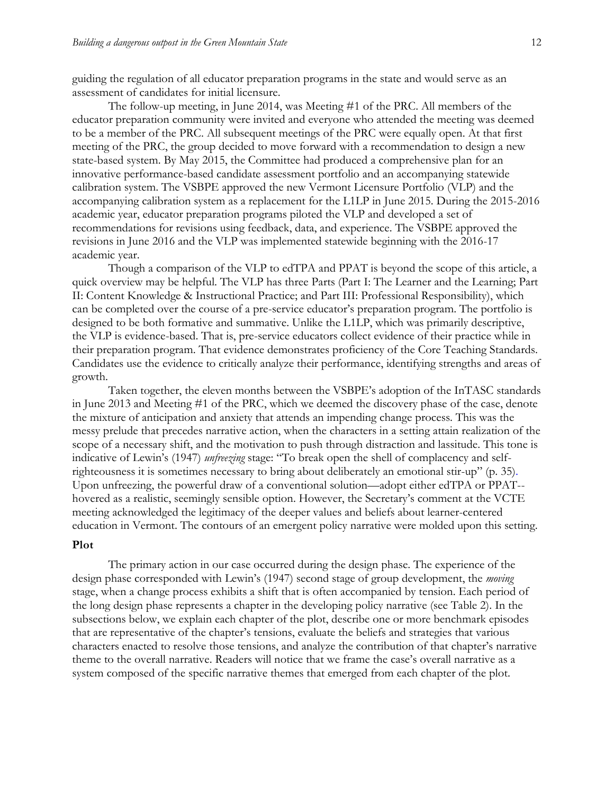guiding the regulation of all educator preparation programs in the state and would serve as an assessment of candidates for initial licensure.

The follow-up meeting, in June 2014, was Meeting #1 of the PRC. All members of the educator preparation community were invited and everyone who attended the meeting was deemed to be a member of the PRC. All subsequent meetings of the PRC were equally open. At that first meeting of the PRC, the group decided to move forward with a recommendation to design a new state-based system. By May 2015, the Committee had produced a comprehensive plan for an innovative performance-based candidate assessment portfolio and an accompanying statewide calibration system. The VSBPE approved the new Vermont Licensure Portfolio (VLP) and the accompanying calibration system as a replacement for the L1LP in June 2015. During the 2015-2016 academic year, educator preparation programs piloted the VLP and developed a set of recommendations for revisions using feedback, data, and experience. The VSBPE approved the revisions in June 2016 and the VLP was implemented statewide beginning with the 2016-17 academic year.

Though a comparison of the VLP to edTPA and PPAT is beyond the scope of this article, a quick overview may be helpful. The VLP has three Parts (Part I: The Learner and the Learning; Part II: Content Knowledge & Instructional Practice; and Part III: Professional Responsibility), which can be completed over the course of a pre-service educator's preparation program. The portfolio is designed to be both formative and summative. Unlike the L1LP, which was primarily descriptive, the VLP is evidence-based. That is, pre-service educators collect evidence of their practice while in their preparation program. That evidence demonstrates proficiency of the Core Teaching Standards. Candidates use the evidence to critically analyze their performance, identifying strengths and areas of growth.

Taken together, the eleven months between the VSBPE's adoption of the InTASC standards in June 2013 and Meeting #1 of the PRC, which we deemed the discovery phase of the case, denote the mixture of anticipation and anxiety that attends an impending change process. This was the messy prelude that precedes narrative action, when the characters in a setting attain realization of the scope of a necessary shift, and the motivation to push through distraction and lassitude. This tone is indicative of Lewin's (1947) *unfreezing* stage: "To break open the shell of complacency and selfrighteousness it is sometimes necessary to bring about deliberately an emotional stir-up" (p. 35). Upon unfreezing, the powerful draw of a conventional solution—adopt either edTPA or PPAT- hovered as a realistic, seemingly sensible option. However, the Secretary's comment at the VCTE meeting acknowledged the legitimacy of the deeper values and beliefs about learner-centered education in Vermont. The contours of an emergent policy narrative were molded upon this setting.

#### **Plot**

The primary action in our case occurred during the design phase. The experience of the design phase corresponded with Lewin's (1947) second stage of group development, the *moving* stage, when a change process exhibits a shift that is often accompanied by tension. Each period of the long design phase represents a chapter in the developing policy narrative (see Table 2). In the subsections below, we explain each chapter of the plot, describe one or more benchmark episodes that are representative of the chapter's tensions, evaluate the beliefs and strategies that various characters enacted to resolve those tensions, and analyze the contribution of that chapter's narrative theme to the overall narrative. Readers will notice that we frame the case's overall narrative as a system composed of the specific narrative themes that emerged from each chapter of the plot.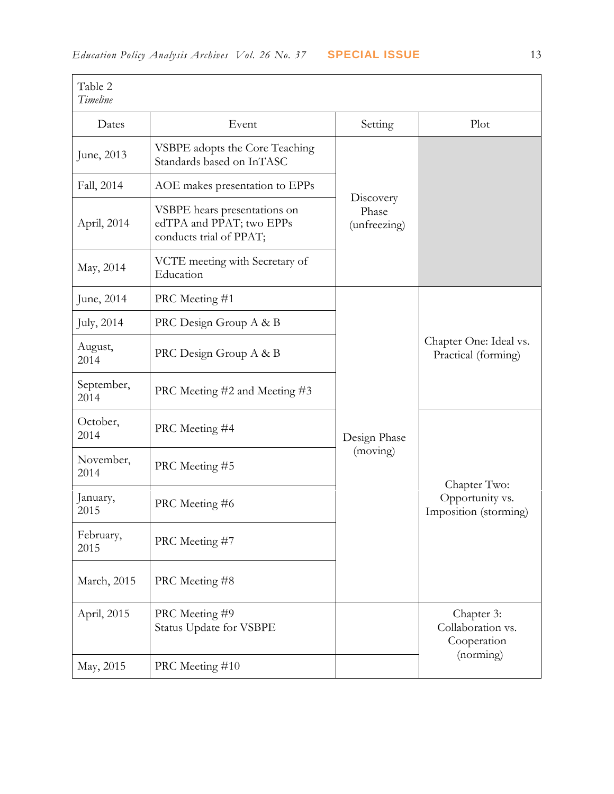| Table 2<br>Timeline |                                                                                     |                                    |                                                          |
|---------------------|-------------------------------------------------------------------------------------|------------------------------------|----------------------------------------------------------|
| Dates               | Event                                                                               | Setting                            | Plot                                                     |
| June, 2013          | VSBPE adopts the Core Teaching<br>Standards based on InTASC                         |                                    |                                                          |
| Fall, 2014          | AOE makes presentation to EPPs                                                      |                                    |                                                          |
| April, 2014         | VSBPE hears presentations on<br>edTPA and PPAT; two EPPs<br>conducts trial of PPAT; | Discovery<br>Phase<br>(unfreezing) |                                                          |
| May, 2014           | VCTE meeting with Secretary of<br>Education                                         |                                    |                                                          |
| June, 2014          | PRC Meeting #1                                                                      |                                    |                                                          |
| July, 2014          | PRC Design Group A & B                                                              |                                    | Chapter One: Ideal vs.<br>Practical (forming)            |
| August,<br>2014     | PRC Design Group A & B                                                              |                                    |                                                          |
| September,<br>2014  | PRC Meeting #2 and Meeting #3                                                       |                                    |                                                          |
| October,<br>2014    | PRC Meeting #4                                                                      | Design Phase                       | Chapter Two:<br>Opportunity vs.<br>Imposition (storming) |
| November,<br>2014   | PRC Meeting #5                                                                      | (moving)                           |                                                          |
| January,<br>2015    | PRC Meeting #6                                                                      |                                    |                                                          |
| February,<br>2015   | PRC Meeting #7                                                                      |                                    |                                                          |
| March, 2015         | PRC Meeting #8                                                                      |                                    |                                                          |
| April, 2015         | PRC Meeting #9<br>Status Update for VSBPE                                           |                                    | Chapter 3:<br>Collaboration vs.<br>Cooperation           |
| May, 2015           | PRC Meeting #10                                                                     |                                    | (norming)                                                |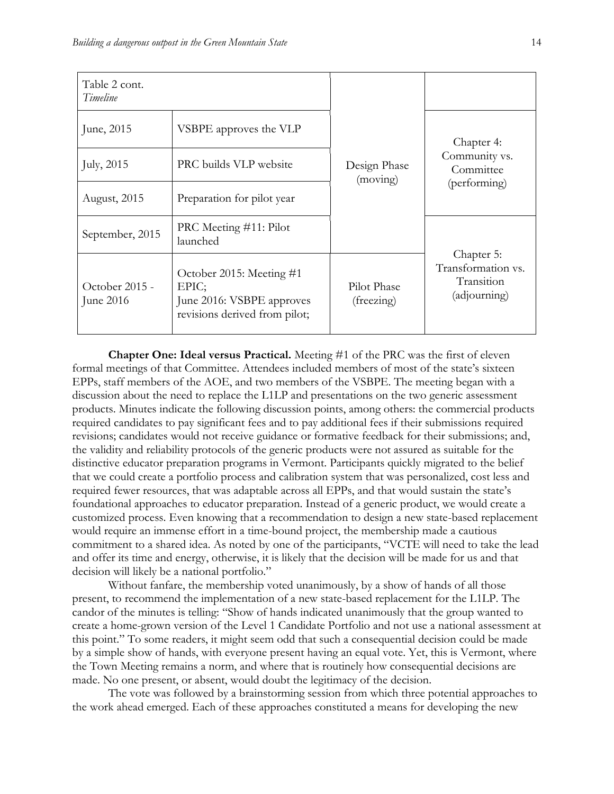| Table 2 cont.<br>Timeline   |                                                                                                 |                           |                                                                |
|-----------------------------|-------------------------------------------------------------------------------------------------|---------------------------|----------------------------------------------------------------|
| June, 2015                  | VSBPE approves the VLP                                                                          |                           | Chapter 4:                                                     |
| July, 2015                  | PRC builds VLP website                                                                          | Design Phase<br>(moving)  | Community vs.<br>Committee                                     |
| August, 2015                | Preparation for pilot year                                                                      |                           | (performing)                                                   |
| September, 2015             | PRC Meeting #11: Pilot<br>launched                                                              |                           |                                                                |
| October 2015 -<br>June 2016 | October 2015: Meeting #1<br>EPIC;<br>June 2016: VSBPE approves<br>revisions derived from pilot; | Pilot Phase<br>(freezing) | Chapter 5:<br>Transformation vs.<br>Transition<br>(adjourning) |

**Chapter One: Ideal versus Practical.** Meeting #1 of the PRC was the first of eleven formal meetings of that Committee. Attendees included members of most of the state's sixteen EPPs, staff members of the AOE, and two members of the VSBPE. The meeting began with a discussion about the need to replace the L1LP and presentations on the two generic assessment products. Minutes indicate the following discussion points, among others: the commercial products required candidates to pay significant fees and to pay additional fees if their submissions required revisions; candidates would not receive guidance or formative feedback for their submissions; and, the validity and reliability protocols of the generic products were not assured as suitable for the distinctive educator preparation programs in Vermont. Participants quickly migrated to the belief that we could create a portfolio process and calibration system that was personalized, cost less and required fewer resources, that was adaptable across all EPPs, and that would sustain the state's foundational approaches to educator preparation. Instead of a generic product, we would create a customized process. Even knowing that a recommendation to design a new state-based replacement would require an immense effort in a time-bound project, the membership made a cautious commitment to a shared idea. As noted by one of the participants, "VCTE will need to take the lead and offer its time and energy, otherwise, it is likely that the decision will be made for us and that decision will likely be a national portfolio."

Without fanfare, the membership voted unanimously, by a show of hands of all those present, to recommend the implementation of a new state-based replacement for the L1LP. The candor of the minutes is telling: "Show of hands indicated unanimously that the group wanted to create a home-grown version of the Level 1 Candidate Portfolio and not use a national assessment at this point." To some readers, it might seem odd that such a consequential decision could be made by a simple show of hands, with everyone present having an equal vote. Yet, this is Vermont, where the Town Meeting remains a norm, and where that is routinely how consequential decisions are made. No one present, or absent, would doubt the legitimacy of the decision.

The vote was followed by a brainstorming session from which three potential approaches to the work ahead emerged. Each of these approaches constituted a means for developing the new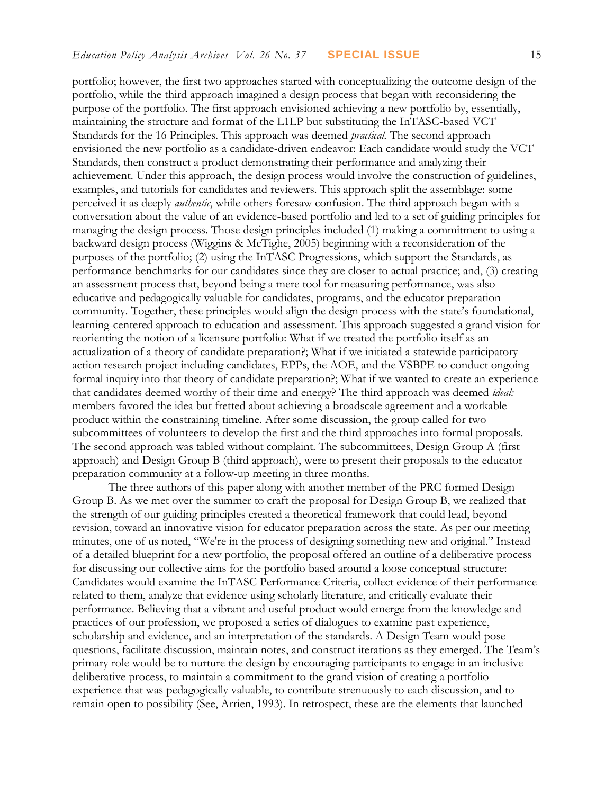portfolio; however, the first two approaches started with conceptualizing the outcome design of the portfolio, while the third approach imagined a design process that began with reconsidering the purpose of the portfolio. The first approach envisioned achieving a new portfolio by, essentially, maintaining the structure and format of the L1LP but substituting the InTASC-based VCT Standards for the 16 Principles. This approach was deemed *practical.* The second approach envisioned the new portfolio as a candidate-driven endeavor: Each candidate would study the VCT Standards, then construct a product demonstrating their performance and analyzing their achievement. Under this approach, the design process would involve the construction of guidelines, examples, and tutorials for candidates and reviewers. This approach split the assemblage: some perceived it as deeply *authentic*, while others foresaw confusion. The third approach began with a conversation about the value of an evidence-based portfolio and led to a set of guiding principles for managing the design process. Those design principles included (1) making a commitment to using a backward design process (Wiggins & McTighe, 2005) beginning with a reconsideration of the purposes of the portfolio; (2) using the InTASC Progressions, which support the Standards, as performance benchmarks for our candidates since they are closer to actual practice; and, (3) creating an assessment process that, beyond being a mere tool for measuring performance, was also educative and pedagogically valuable for candidates, programs, and the educator preparation community. Together, these principles would align the design process with the state's foundational, learning-centered approach to education and assessment. This approach suggested a grand vision for reorienting the notion of a licensure portfolio: What if we treated the portfolio itself as an actualization of a theory of candidate preparation?; What if we initiated a statewide participatory action research project including candidates, EPPs, the AOE, and the VSBPE to conduct ongoing formal inquiry into that theory of candidate preparation?; What if we wanted to create an experience that candidates deemed worthy of their time and energy? The third approach was deemed *ideal:* members favored the idea but fretted about achieving a broadscale agreement and a workable product within the constraining timeline. After some discussion, the group called for two subcommittees of volunteers to develop the first and the third approaches into formal proposals. The second approach was tabled without complaint. The subcommittees, Design Group A (first approach) and Design Group B (third approach), were to present their proposals to the educator preparation community at a follow-up meeting in three months.

The three authors of this paper along with another member of the PRC formed Design Group B. As we met over the summer to craft the proposal for Design Group B, we realized that the strength of our guiding principles created a theoretical framework that could lead, beyond revision, toward an innovative vision for educator preparation across the state. As per our meeting minutes, one of us noted, "We're in the process of designing something new and original." Instead of a detailed blueprint for a new portfolio, the proposal offered an outline of a deliberative process for discussing our collective aims for the portfolio based around a loose conceptual structure: Candidates would examine the InTASC Performance Criteria, collect evidence of their performance related to them, analyze that evidence using scholarly literature, and critically evaluate their performance. Believing that a vibrant and useful product would emerge from the knowledge and practices of our profession, we proposed a series of dialogues to examine past experience, scholarship and evidence, and an interpretation of the standards. A Design Team would pose questions, facilitate discussion, maintain notes, and construct iterations as they emerged. The Team's primary role would be to nurture the design by encouraging participants to engage in an inclusive deliberative process, to maintain a commitment to the grand vision of creating a portfolio experience that was pedagogically valuable, to contribute strenuously to each discussion, and to remain open to possibility (See, Arrien, 1993). In retrospect, these are the elements that launched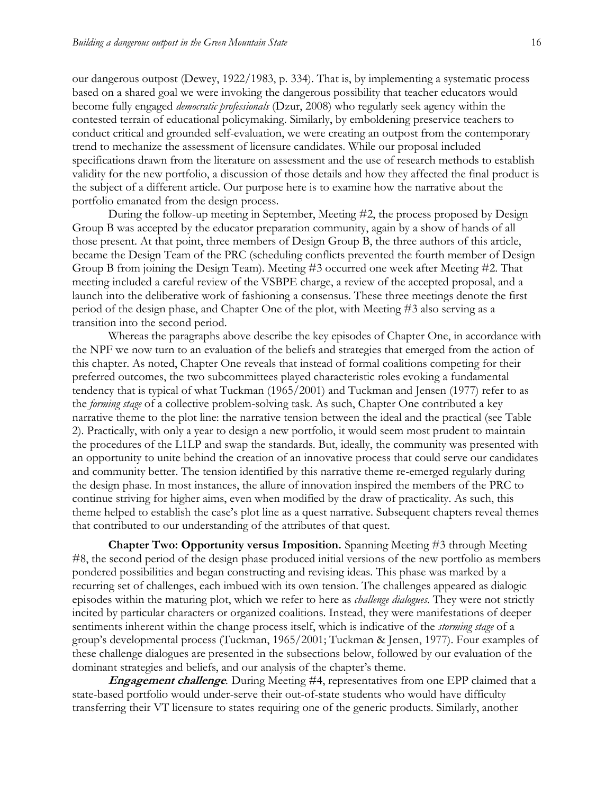our dangerous outpost (Dewey, 1922/1983, p. 334). That is, by implementing a systematic process based on a shared goal we were invoking the dangerous possibility that teacher educators would become fully engaged *democratic professionals* (Dzur, 2008) who regularly seek agency within the contested terrain of educational policymaking. Similarly, by emboldening preservice teachers to conduct critical and grounded self-evaluation, we were creating an outpost from the contemporary trend to mechanize the assessment of licensure candidates. While our proposal included specifications drawn from the literature on assessment and the use of research methods to establish validity for the new portfolio, a discussion of those details and how they affected the final product is the subject of a different article. Our purpose here is to examine how the narrative about the portfolio emanated from the design process.

During the follow-up meeting in September, Meeting #2, the process proposed by Design Group B was accepted by the educator preparation community, again by a show of hands of all those present. At that point, three members of Design Group B, the three authors of this article, became the Design Team of the PRC (scheduling conflicts prevented the fourth member of Design Group B from joining the Design Team). Meeting #3 occurred one week after Meeting #2. That meeting included a careful review of the VSBPE charge, a review of the accepted proposal, and a launch into the deliberative work of fashioning a consensus. These three meetings denote the first period of the design phase, and Chapter One of the plot, with Meeting #3 also serving as a transition into the second period.

Whereas the paragraphs above describe the key episodes of Chapter One, in accordance with the NPF we now turn to an evaluation of the beliefs and strategies that emerged from the action of this chapter. As noted, Chapter One reveals that instead of formal coalitions competing for their preferred outcomes, the two subcommittees played characteristic roles evoking a fundamental tendency that is typical of what Tuckman (1965/2001) and Tuckman and Jensen (1977) refer to as the *forming stage* of a collective problem-solving task. As such, Chapter One contributed a key narrative theme to the plot line: the narrative tension between the ideal and the practical (see Table 2). Practically, with only a year to design a new portfolio, it would seem most prudent to maintain the procedures of the L1LP and swap the standards. But, ideally, the community was presented with an opportunity to unite behind the creation of an innovative process that could serve our candidates and community better. The tension identified by this narrative theme re-emerged regularly during the design phase. In most instances, the allure of innovation inspired the members of the PRC to continue striving for higher aims, even when modified by the draw of practicality. As such, this theme helped to establish the case's plot line as a quest narrative. Subsequent chapters reveal themes that contributed to our understanding of the attributes of that quest.

**Chapter Two: Opportunity versus Imposition.** Spanning Meeting #3 through Meeting #8, the second period of the design phase produced initial versions of the new portfolio as members pondered possibilities and began constructing and revising ideas. This phase was marked by a recurring set of challenges, each imbued with its own tension. The challenges appeared as dialogic episodes within the maturing plot, which we refer to here as *challenge dialogues*. They were not strictly incited by particular characters or organized coalitions. Instead, they were manifestations of deeper sentiments inherent within the change process itself, which is indicative of the *storming stage* of a group's developmental process (Tuckman, 1965/2001; Tuckman & Jensen, 1977). Four examples of these challenge dialogues are presented in the subsections below, followed by our evaluation of the dominant strategies and beliefs, and our analysis of the chapter's theme.

**Engagement challenge***.* During Meeting #4, representatives from one EPP claimed that a state-based portfolio would under-serve their out-of-state students who would have difficulty transferring their VT licensure to states requiring one of the generic products. Similarly, another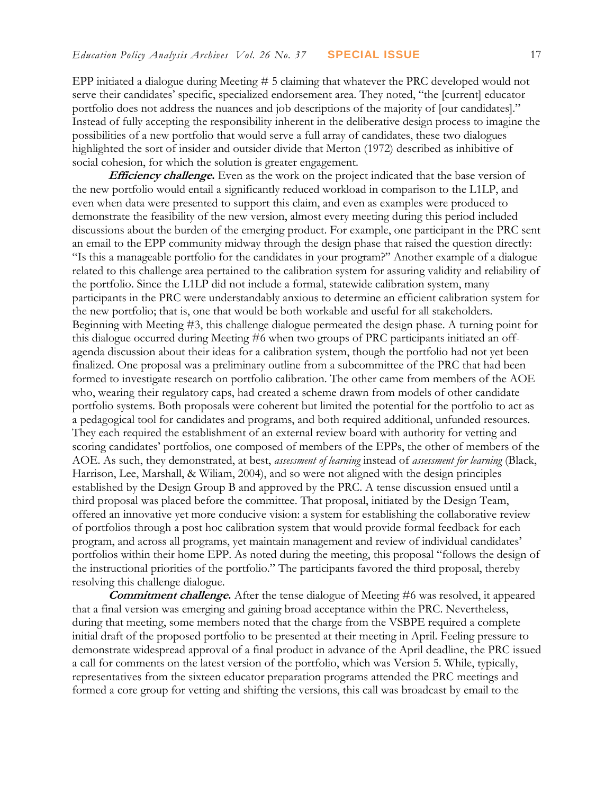EPP initiated a dialogue during Meeting # 5 claiming that whatever the PRC developed would not serve their candidates' specific, specialized endorsement area. They noted, "the [current] educator portfolio does not address the nuances and job descriptions of the majority of [our candidates]." Instead of fully accepting the responsibility inherent in the deliberative design process to imagine the possibilities of a new portfolio that would serve a full array of candidates, these two dialogues highlighted the sort of insider and outsider divide that Merton (1972) described as inhibitive of social cohesion, for which the solution is greater engagement.

**Efficiency challenge.** Even as the work on the project indicated that the base version of the new portfolio would entail a significantly reduced workload in comparison to the L1LP, and even when data were presented to support this claim, and even as examples were produced to demonstrate the feasibility of the new version, almost every meeting during this period included discussions about the burden of the emerging product. For example, one participant in the PRC sent an email to the EPP community midway through the design phase that raised the question directly: "Is this a manageable portfolio for the candidates in your program?" Another example of a dialogue related to this challenge area pertained to the calibration system for assuring validity and reliability of the portfolio. Since the L1LP did not include a formal, statewide calibration system, many participants in the PRC were understandably anxious to determine an efficient calibration system for the new portfolio; that is, one that would be both workable and useful for all stakeholders. Beginning with Meeting #3, this challenge dialogue permeated the design phase. A turning point for this dialogue occurred during Meeting #6 when two groups of PRC participants initiated an offagenda discussion about their ideas for a calibration system, though the portfolio had not yet been finalized. One proposal was a preliminary outline from a subcommittee of the PRC that had been formed to investigate research on portfolio calibration. The other came from members of the AOE who, wearing their regulatory caps, had created a scheme drawn from models of other candidate portfolio systems. Both proposals were coherent but limited the potential for the portfolio to act as a pedagogical tool for candidates and programs, and both required additional, unfunded resources. They each required the establishment of an external review board with authority for vetting and scoring candidates' portfolios, one composed of members of the EPPs, the other of members of the AOE. As such, they demonstrated, at best, *assessment of learning* instead of *assessment for learning* (Black, Harrison, Lee, Marshall, & Wiliam, 2004), and so were not aligned with the design principles established by the Design Group B and approved by the PRC. A tense discussion ensued until a third proposal was placed before the committee. That proposal, initiated by the Design Team, offered an innovative yet more conducive vision: a system for establishing the collaborative review of portfolios through a post hoc calibration system that would provide formal feedback for each program, and across all programs, yet maintain management and review of individual candidates' portfolios within their home EPP. As noted during the meeting, this proposal "follows the design of the instructional priorities of the portfolio." The participants favored the third proposal, thereby resolving this challenge dialogue.

**Commitment challenge.** After the tense dialogue of Meeting #6 was resolved, it appeared that a final version was emerging and gaining broad acceptance within the PRC. Nevertheless, during that meeting, some members noted that the charge from the VSBPE required a complete initial draft of the proposed portfolio to be presented at their meeting in April. Feeling pressure to demonstrate widespread approval of a final product in advance of the April deadline, the PRC issued a call for comments on the latest version of the portfolio, which was Version 5. While, typically, representatives from the sixteen educator preparation programs attended the PRC meetings and formed a core group for vetting and shifting the versions, this call was broadcast by email to the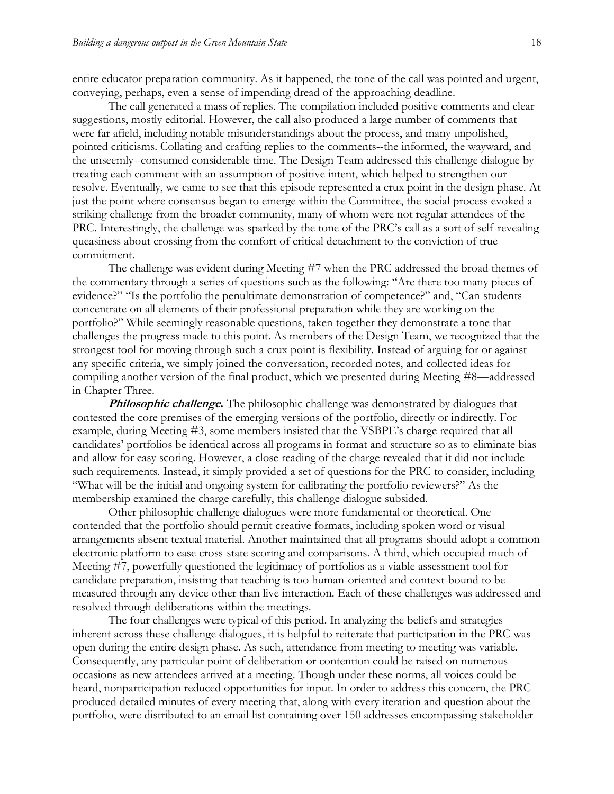entire educator preparation community. As it happened, the tone of the call was pointed and urgent, conveying, perhaps, even a sense of impending dread of the approaching deadline.

The call generated a mass of replies. The compilation included positive comments and clear suggestions, mostly editorial. However, the call also produced a large number of comments that were far afield, including notable misunderstandings about the process, and many unpolished, pointed criticisms. Collating and crafting replies to the comments--the informed, the wayward, and the unseemly--consumed considerable time. The Design Team addressed this challenge dialogue by treating each comment with an assumption of positive intent, which helped to strengthen our resolve. Eventually, we came to see that this episode represented a crux point in the design phase. At just the point where consensus began to emerge within the Committee, the social process evoked a striking challenge from the broader community, many of whom were not regular attendees of the PRC. Interestingly, the challenge was sparked by the tone of the PRC's call as a sort of self-revealing queasiness about crossing from the comfort of critical detachment to the conviction of true commitment.

The challenge was evident during Meeting #7 when the PRC addressed the broad themes of the commentary through a series of questions such as the following: "Are there too many pieces of evidence?" "Is the portfolio the penultimate demonstration of competence?" and, "Can students concentrate on all elements of their professional preparation while they are working on the portfolio?" While seemingly reasonable questions, taken together they demonstrate a tone that challenges the progress made to this point. As members of the Design Team, we recognized that the strongest tool for moving through such a crux point is flexibility. Instead of arguing for or against any specific criteria, we simply joined the conversation, recorded notes, and collected ideas for compiling another version of the final product, which we presented during Meeting #8—addressed in Chapter Three.

**Philosophic challenge.** The philosophic challenge was demonstrated by dialogues that contested the core premises of the emerging versions of the portfolio, directly or indirectly. For example, during Meeting #3, some members insisted that the VSBPE's charge required that all candidates' portfolios be identical across all programs in format and structure so as to eliminate bias and allow for easy scoring. However, a close reading of the charge revealed that it did not include such requirements. Instead, it simply provided a set of questions for the PRC to consider, including "What will be the initial and ongoing system for calibrating the portfolio reviewers?" As the membership examined the charge carefully, this challenge dialogue subsided.

Other philosophic challenge dialogues were more fundamental or theoretical. One contended that the portfolio should permit creative formats, including spoken word or visual arrangements absent textual material. Another maintained that all programs should adopt a common electronic platform to ease cross-state scoring and comparisons. A third, which occupied much of Meeting #7, powerfully questioned the legitimacy of portfolios as a viable assessment tool for candidate preparation, insisting that teaching is too human-oriented and context-bound to be measured through any device other than live interaction. Each of these challenges was addressed and resolved through deliberations within the meetings.

The four challenges were typical of this period. In analyzing the beliefs and strategies inherent across these challenge dialogues, it is helpful to reiterate that participation in the PRC was open during the entire design phase. As such, attendance from meeting to meeting was variable. Consequently, any particular point of deliberation or contention could be raised on numerous occasions as new attendees arrived at a meeting. Though under these norms, all voices could be heard, nonparticipation reduced opportunities for input. In order to address this concern, the PRC produced detailed minutes of every meeting that, along with every iteration and question about the portfolio, were distributed to an email list containing over 150 addresses encompassing stakeholder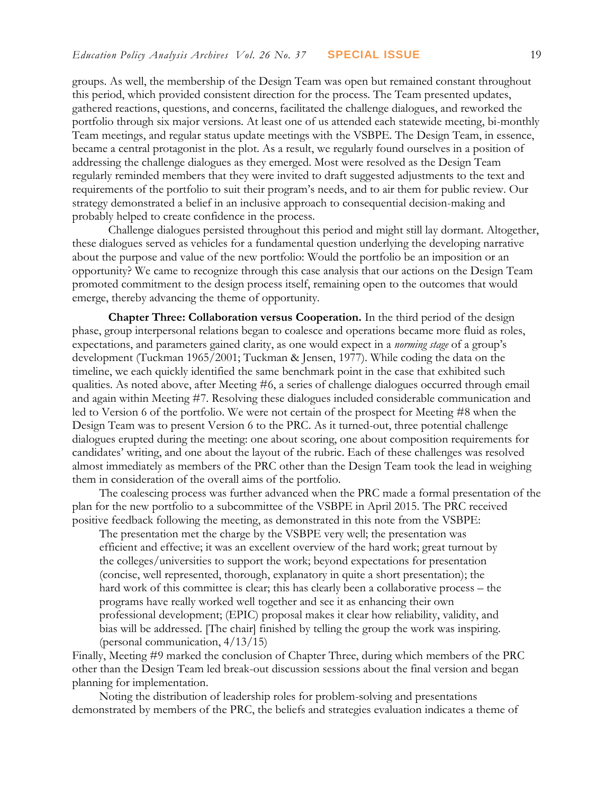groups. As well, the membership of the Design Team was open but remained constant throughout this period, which provided consistent direction for the process. The Team presented updates, gathered reactions, questions, and concerns, facilitated the challenge dialogues, and reworked the portfolio through six major versions. At least one of us attended each statewide meeting, bi-monthly Team meetings, and regular status update meetings with the VSBPE. The Design Team, in essence, became a central protagonist in the plot. As a result, we regularly found ourselves in a position of addressing the challenge dialogues as they emerged. Most were resolved as the Design Team regularly reminded members that they were invited to draft suggested adjustments to the text and requirements of the portfolio to suit their program's needs, and to air them for public review. Our strategy demonstrated a belief in an inclusive approach to consequential decision-making and probably helped to create confidence in the process.

Challenge dialogues persisted throughout this period and might still lay dormant. Altogether, these dialogues served as vehicles for a fundamental question underlying the developing narrative about the purpose and value of the new portfolio: Would the portfolio be an imposition or an opportunity? We came to recognize through this case analysis that our actions on the Design Team promoted commitment to the design process itself, remaining open to the outcomes that would emerge, thereby advancing the theme of opportunity*.*

**Chapter Three: Collaboration versus Cooperation.** In the third period of the design phase, group interpersonal relations began to coalesce and operations became more fluid as roles, expectations, and parameters gained clarity, as one would expect in a *norming stage* of a group's development (Tuckman 1965/2001; Tuckman & Jensen, 1977). While coding the data on the timeline, we each quickly identified the same benchmark point in the case that exhibited such qualities. As noted above, after Meeting #6, a series of challenge dialogues occurred through email and again within Meeting #7. Resolving these dialogues included considerable communication and led to Version 6 of the portfolio. We were not certain of the prospect for Meeting #8 when the Design Team was to present Version 6 to the PRC. As it turned-out, three potential challenge dialogues erupted during the meeting: one about scoring, one about composition requirements for candidates' writing, and one about the layout of the rubric. Each of these challenges was resolved almost immediately as members of the PRC other than the Design Team took the lead in weighing them in consideration of the overall aims of the portfolio.

The coalescing process was further advanced when the PRC made a formal presentation of the plan for the new portfolio to a subcommittee of the VSBPE in April 2015. The PRC received positive feedback following the meeting, as demonstrated in this note from the VSBPE:

The presentation met the charge by the VSBPE very well; the presentation was efficient and effective; it was an excellent overview of the hard work; great turnout by the colleges/universities to support the work; beyond expectations for presentation (concise, well represented, thorough, explanatory in quite a short presentation); the hard work of this committee is clear; this has clearly been a collaborative process – the programs have really worked well together and see it as enhancing their own professional development; (EPIC) proposal makes it clear how reliability, validity, and bias will be addressed. [The chair] finished by telling the group the work was inspiring. (personal communication, 4/13/15)

Finally, Meeting #9 marked the conclusion of Chapter Three, during which members of the PRC other than the Design Team led break-out discussion sessions about the final version and began planning for implementation.

Noting the distribution of leadership roles for problem-solving and presentations demonstrated by members of the PRC, the beliefs and strategies evaluation indicates a theme of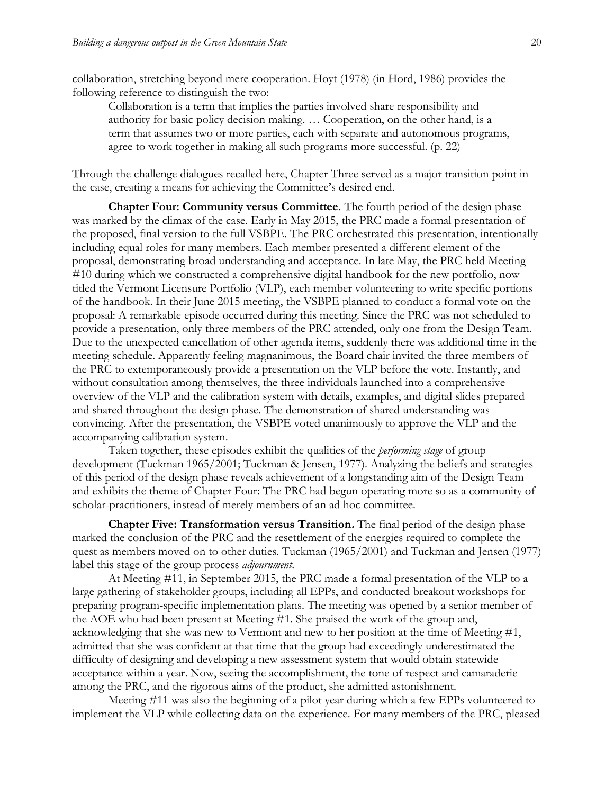collaboration, stretching beyond mere cooperation. Hoyt (1978) (in Hord, 1986) provides the following reference to distinguish the two:

Collaboration is a term that implies the parties involved share responsibility and authority for basic policy decision making. … Cooperation, on the other hand, is a term that assumes two or more parties, each with separate and autonomous programs, agree to work together in making all such programs more successful. (p. 22)

Through the challenge dialogues recalled here, Chapter Three served as a major transition point in the case, creating a means for achieving the Committee's desired end.

**Chapter Four: Community versus Committee.** The fourth period of the design phase was marked by the climax of the case. Early in May 2015, the PRC made a formal presentation of the proposed, final version to the full VSBPE. The PRC orchestrated this presentation, intentionally including equal roles for many members. Each member presented a different element of the proposal, demonstrating broad understanding and acceptance. In late May, the PRC held Meeting #10 during which we constructed a comprehensive digital handbook for the new portfolio, now titled the Vermont Licensure Portfolio (VLP), each member volunteering to write specific portions of the handbook. In their June 2015 meeting, the VSBPE planned to conduct a formal vote on the proposal: A remarkable episode occurred during this meeting. Since the PRC was not scheduled to provide a presentation, only three members of the PRC attended, only one from the Design Team. Due to the unexpected cancellation of other agenda items, suddenly there was additional time in the meeting schedule. Apparently feeling magnanimous, the Board chair invited the three members of the PRC to extemporaneously provide a presentation on the VLP before the vote. Instantly, and without consultation among themselves, the three individuals launched into a comprehensive overview of the VLP and the calibration system with details, examples, and digital slides prepared and shared throughout the design phase. The demonstration of shared understanding was convincing. After the presentation, the VSBPE voted unanimously to approve the VLP and the accompanying calibration system.

Taken together, these episodes exhibit the qualities of the *performing stage* of group development (Tuckman 1965/2001; Tuckman & Jensen, 1977). Analyzing the beliefs and strategies of this period of the design phase reveals achievement of a longstanding aim of the Design Team and exhibits the theme of Chapter Four: The PRC had begun operating more so as a community of scholar-practitioners, instead of merely members of an ad hoc committee.

**Chapter Five: Transformation versus Transition.** The final period of the design phase marked the conclusion of the PRC and the resettlement of the energies required to complete the quest as members moved on to other duties. Tuckman (1965/2001) and Tuckman and Jensen (1977) label this stage of the group process *adjournment*.

At Meeting #11, in September 2015, the PRC made a formal presentation of the VLP to a large gathering of stakeholder groups, including all EPPs, and conducted breakout workshops for preparing program-specific implementation plans. The meeting was opened by a senior member of the AOE who had been present at Meeting #1. She praised the work of the group and, acknowledging that she was new to Vermont and new to her position at the time of Meeting #1, admitted that she was confident at that time that the group had exceedingly underestimated the difficulty of designing and developing a new assessment system that would obtain statewide acceptance within a year. Now, seeing the accomplishment, the tone of respect and camaraderie among the PRC, and the rigorous aims of the product, she admitted astonishment.

Meeting #11 was also the beginning of a pilot year during which a few EPPs volunteered to implement the VLP while collecting data on the experience. For many members of the PRC, pleased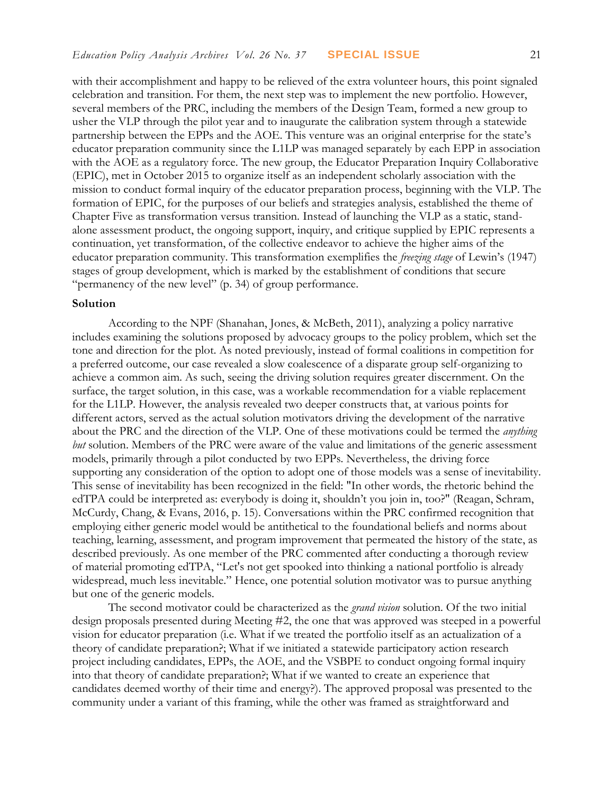with their accomplishment and happy to be relieved of the extra volunteer hours, this point signaled celebration and transition. For them, the next step was to implement the new portfolio. However, several members of the PRC, including the members of the Design Team, formed a new group to usher the VLP through the pilot year and to inaugurate the calibration system through a statewide partnership between the EPPs and the AOE. This venture was an original enterprise for the state's educator preparation community since the L1LP was managed separately by each EPP in association with the AOE as a regulatory force. The new group, the Educator Preparation Inquiry Collaborative (EPIC), met in October 2015 to organize itself as an independent scholarly association with the mission to conduct formal inquiry of the educator preparation process, beginning with the VLP. The formation of EPIC, for the purposes of our beliefs and strategies analysis, established the theme of Chapter Five as transformation versus transition. Instead of launching the VLP as a static, standalone assessment product, the ongoing support, inquiry, and critique supplied by EPIC represents a continuation, yet transformation, of the collective endeavor to achieve the higher aims of the educator preparation community. This transformation exemplifies the *freezing stage* of Lewin's (1947) stages of group development, which is marked by the establishment of conditions that secure "permanency of the new level" (p. 34) of group performance.

#### **Solution**

According to the NPF (Shanahan, Jones, & McBeth, 2011), analyzing a policy narrative includes examining the solutions proposed by advocacy groups to the policy problem, which set the tone and direction for the plot. As noted previously, instead of formal coalitions in competition for a preferred outcome, our case revealed a slow coalescence of a disparate group self-organizing to achieve a common aim. As such, seeing the driving solution requires greater discernment. On the surface, the target solution, in this case, was a workable recommendation for a viable replacement for the L1LP. However, the analysis revealed two deeper constructs that, at various points for different actors, served as the actual solution motivators driving the development of the narrative about the PRC and the direction of the VLP. One of these motivations could be termed the *anything but* solution. Members of the PRC were aware of the value and limitations of the generic assessment models, primarily through a pilot conducted by two EPPs. Nevertheless, the driving force supporting any consideration of the option to adopt one of those models was a sense of inevitability. This sense of inevitability has been recognized in the field: "In other words, the rhetoric behind the edTPA could be interpreted as: everybody is doing it, shouldn't you join in, too?" (Reagan, Schram, McCurdy, Chang, & Evans, 2016, p. 15). Conversations within the PRC confirmed recognition that employing either generic model would be antithetical to the foundational beliefs and norms about teaching, learning, assessment, and program improvement that permeated the history of the state, as described previously. As one member of the PRC commented after conducting a thorough review of material promoting edTPA, "Let's not get spooked into thinking a national portfolio is already widespread, much less inevitable." Hence, one potential solution motivator was to pursue anything but one of the generic models.

The second motivator could be characterized as the *grand vision* solution. Of the two initial design proposals presented during Meeting #2, the one that was approved was steeped in a powerful vision for educator preparation (i.e. What if we treated the portfolio itself as an actualization of a theory of candidate preparation?; What if we initiated a statewide participatory action research project including candidates, EPPs, the AOE, and the VSBPE to conduct ongoing formal inquiry into that theory of candidate preparation?; What if we wanted to create an experience that candidates deemed worthy of their time and energy?). The approved proposal was presented to the community under a variant of this framing, while the other was framed as straightforward and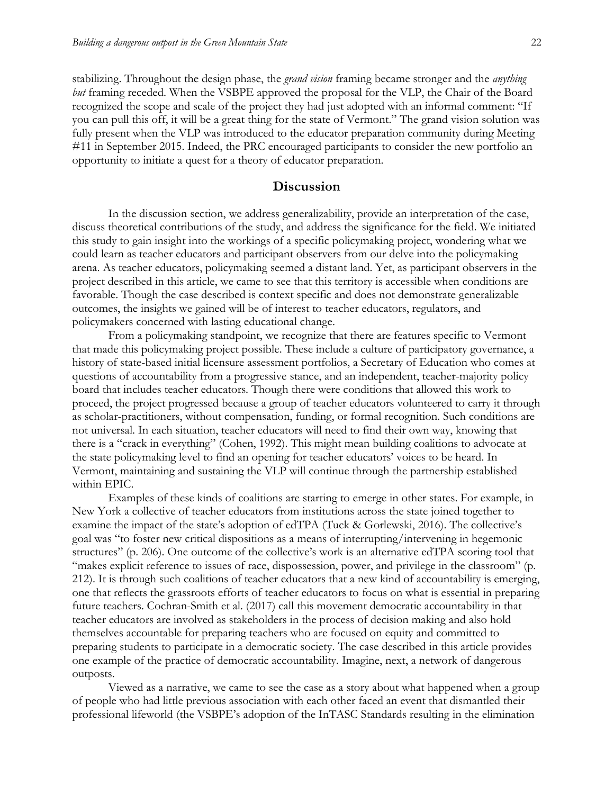stabilizing. Throughout the design phase, the *grand vision* framing became stronger and the *anything but* framing receded. When the VSBPE approved the proposal for the VLP, the Chair of the Board recognized the scope and scale of the project they had just adopted with an informal comment: "If you can pull this off, it will be a great thing for the state of Vermont." The grand vision solution was fully present when the VLP was introduced to the educator preparation community during Meeting #11 in September 2015. Indeed, the PRC encouraged participants to consider the new portfolio an opportunity to initiate a quest for a theory of educator preparation.

#### **Discussion**

In the discussion section, we address generalizability, provide an interpretation of the case, discuss theoretical contributions of the study, and address the significance for the field. We initiated this study to gain insight into the workings of a specific policymaking project, wondering what we could learn as teacher educators and participant observers from our delve into the policymaking arena. As teacher educators, policymaking seemed a distant land. Yet, as participant observers in the project described in this article, we came to see that this territory is accessible when conditions are favorable. Though the case described is context specific and does not demonstrate generalizable outcomes, the insights we gained will be of interest to teacher educators, regulators, and policymakers concerned with lasting educational change.

From a policymaking standpoint, we recognize that there are features specific to Vermont that made this policymaking project possible. These include a culture of participatory governance, a history of state-based initial licensure assessment portfolios, a Secretary of Education who comes at questions of accountability from a progressive stance, and an independent, teacher-majority policy board that includes teacher educators. Though there were conditions that allowed this work to proceed, the project progressed because a group of teacher educators volunteered to carry it through as scholar-practitioners, without compensation, funding, or formal recognition. Such conditions are not universal. In each situation, teacher educators will need to find their own way, knowing that there is a "crack in everything" (Cohen, 1992). This might mean building coalitions to advocate at the state policymaking level to find an opening for teacher educators' voices to be heard. In Vermont, maintaining and sustaining the VLP will continue through the partnership established within EPIC.

Examples of these kinds of coalitions are starting to emerge in other states. For example, in New York a collective of teacher educators from institutions across the state joined together to examine the impact of the state's adoption of edTPA (Tuck & Gorlewski, 2016). The collective's goal was "to foster new critical dispositions as a means of interrupting/intervening in hegemonic structures" (p. 206). One outcome of the collective's work is an alternative edTPA scoring tool that "makes explicit reference to issues of race, dispossession, power, and privilege in the classroom" (p. 212). It is through such coalitions of teacher educators that a new kind of accountability is emerging, one that reflects the grassroots efforts of teacher educators to focus on what is essential in preparing future teachers. Cochran-Smith et al. (2017) call this movement democratic accountability in that teacher educators are involved as stakeholders in the process of decision making and also hold themselves accountable for preparing teachers who are focused on equity and committed to preparing students to participate in a democratic society. The case described in this article provides one example of the practice of democratic accountability. Imagine, next, a network of dangerous outposts.

Viewed as a narrative, we came to see the case as a story about what happened when a group of people who had little previous association with each other faced an event that dismantled their professional lifeworld (the VSBPE's adoption of the InTASC Standards resulting in the elimination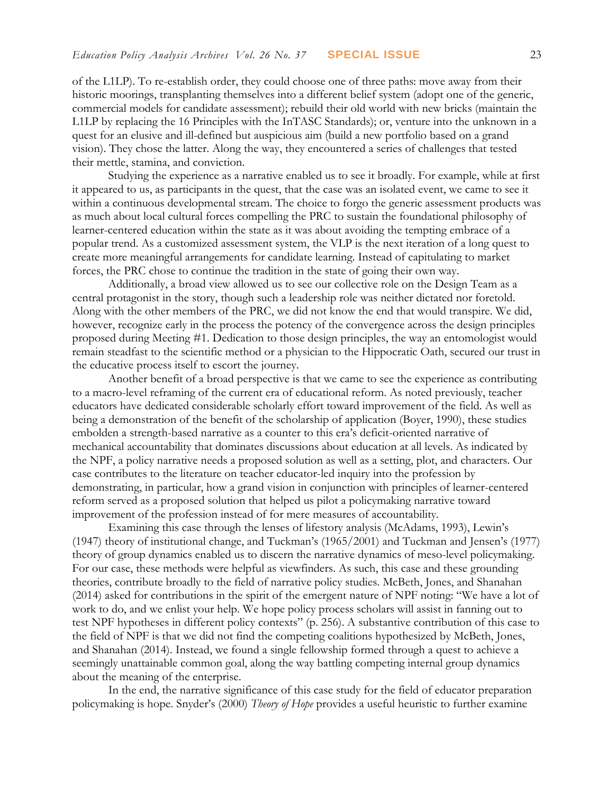of the L1LP). To re-establish order, they could choose one of three paths: move away from their historic moorings, transplanting themselves into a different belief system (adopt one of the generic, commercial models for candidate assessment); rebuild their old world with new bricks (maintain the L1LP by replacing the 16 Principles with the InTASC Standards); or, venture into the unknown in a quest for an elusive and ill-defined but auspicious aim (build a new portfolio based on a grand vision). They chose the latter. Along the way, they encountered a series of challenges that tested their mettle, stamina, and conviction.

Studying the experience as a narrative enabled us to see it broadly. For example, while at first it appeared to us, as participants in the quest, that the case was an isolated event, we came to see it within a continuous developmental stream. The choice to forgo the generic assessment products was as much about local cultural forces compelling the PRC to sustain the foundational philosophy of learner-centered education within the state as it was about avoiding the tempting embrace of a popular trend. As a customized assessment system, the VLP is the next iteration of a long quest to create more meaningful arrangements for candidate learning. Instead of capitulating to market forces, the PRC chose to continue the tradition in the state of going their own way.

Additionally, a broad view allowed us to see our collective role on the Design Team as a central protagonist in the story, though such a leadership role was neither dictated nor foretold. Along with the other members of the PRC, we did not know the end that would transpire. We did, however, recognize early in the process the potency of the convergence across the design principles proposed during Meeting #1. Dedication to those design principles, the way an entomologist would remain steadfast to the scientific method or a physician to the Hippocratic Oath, secured our trust in the educative process itself to escort the journey.

Another benefit of a broad perspective is that we came to see the experience as contributing to a macro-level reframing of the current era of educational reform. As noted previously, teacher educators have dedicated considerable scholarly effort toward improvement of the field. As well as being a demonstration of the benefit of the scholarship of application (Boyer, 1990), these studies embolden a strength-based narrative as a counter to this era's deficit-oriented narrative of mechanical accountability that dominates discussions about education at all levels. As indicated by the NPF, a policy narrative needs a proposed solution as well as a setting, plot, and characters. Our case contributes to the literature on teacher educator-led inquiry into the profession by demonstrating, in particular, how a grand vision in conjunction with principles of learner-centered reform served as a proposed solution that helped us pilot a policymaking narrative toward improvement of the profession instead of for mere measures of accountability.

Examining this case through the lenses of lifestory analysis (McAdams, 1993), Lewin's (1947) theory of institutional change, and Tuckman's (1965/2001) and Tuckman and Jensen's (1977) theory of group dynamics enabled us to discern the narrative dynamics of meso-level policymaking. For our case, these methods were helpful as viewfinders. As such, this case and these grounding theories, contribute broadly to the field of narrative policy studies. McBeth, Jones, and Shanahan (2014) asked for contributions in the spirit of the emergent nature of NPF noting: "We have a lot of work to do, and we enlist your help. We hope policy process scholars will assist in fanning out to test NPF hypotheses in different policy contexts" (p. 256). A substantive contribution of this case to the field of NPF is that we did not find the competing coalitions hypothesized by McBeth, Jones, and Shanahan (2014). Instead, we found a single fellowship formed through a quest to achieve a seemingly unattainable common goal, along the way battling competing internal group dynamics about the meaning of the enterprise.

In the end, the narrative significance of this case study for the field of educator preparation policymaking is hope. Snyder's (2000) *Theory of Hope* provides a useful heuristic to further examine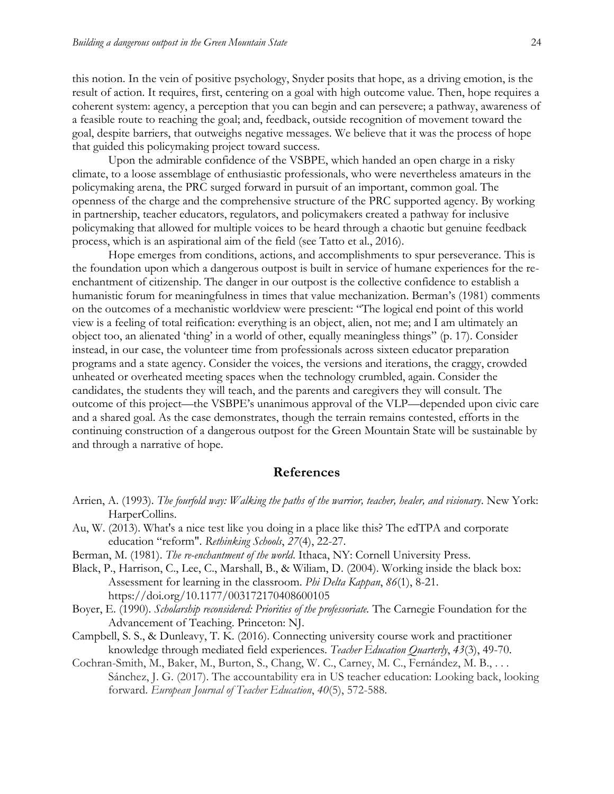this notion. In the vein of positive psychology, Snyder posits that hope, as a driving emotion, is the result of action. It requires, first, centering on a goal with high outcome value. Then, hope requires a coherent system: agency, a perception that you can begin and can persevere; a pathway, awareness of a feasible route to reaching the goal; and, feedback, outside recognition of movement toward the goal, despite barriers, that outweighs negative messages. We believe that it was the process of hope that guided this policymaking project toward success.

Upon the admirable confidence of the VSBPE, which handed an open charge in a risky climate, to a loose assemblage of enthusiastic professionals, who were nevertheless amateurs in the policymaking arena, the PRC surged forward in pursuit of an important, common goal. The openness of the charge and the comprehensive structure of the PRC supported agency. By working in partnership, teacher educators, regulators, and policymakers created a pathway for inclusive policymaking that allowed for multiple voices to be heard through a chaotic but genuine feedback process, which is an aspirational aim of the field (see Tatto et al., 2016).

Hope emerges from conditions, actions, and accomplishments to spur perseverance. This is the foundation upon which a dangerous outpost is built in service of humane experiences for the reenchantment of citizenship. The danger in our outpost is the collective confidence to establish a humanistic forum for meaningfulness in times that value mechanization. Berman's (1981) comments on the outcomes of a mechanistic worldview were prescient: "The logical end point of this world view is a feeling of total reification: everything is an object, alien, not me; and I am ultimately an object too, an alienated 'thing' in a world of other, equally meaningless things" (p. 17). Consider instead, in our case, the volunteer time from professionals across sixteen educator preparation programs and a state agency. Consider the voices, the versions and iterations, the craggy, crowded unheated or overheated meeting spaces when the technology crumbled, again. Consider the candidates, the students they will teach, and the parents and caregivers they will consult. The outcome of this project—the VSBPE's unanimous approval of the VLP—depended upon civic care and a shared goal. As the case demonstrates, though the terrain remains contested, efforts in the continuing construction of a dangerous outpost for the Green Mountain State will be sustainable by and through a narrative of hope.

#### **References**

- Arrien, A. (1993). *The fourfold way: Walking the paths of the warrior, teacher, healer, and visionary*. New York: HarperCollins.
- Au, W. (2013). What's a nice test like you doing in a place like this? The edTPA and corporate education "reform". *Rethinking Schools*, *27*(4), 22-27.
- Berman, M. (1981). *The re-enchantment of the world*. Ithaca, NY: Cornell University Press.
- Black, P., Harrison, C., Lee, C., Marshall, B., & Wiliam, D. (2004). Working inside the black box: Assessment for learning in the classroom. *Phi Delta Kappan*, *86*(1), 8-21. https://doi.org/10.1177/003172170408600105
- Boyer, E. (1990). *Scholarship reconsidered: Priorities of the professoriate.* The Carnegie Foundation for the Advancement of Teaching. Princeton: NJ.
- Campbell, S. S., & Dunleavy, T. K. (2016). Connecting university course work and practitioner knowledge through mediated field experiences. *Teacher Education Quarterly*, *43*(3), 49-70.
- Cochran-Smith, M., Baker, M., Burton, S., Chang, W. C., Carney, M. C., Fernández, M. B., . . . Sánchez, J. G. (2017). The accountability era in US teacher education: Looking back, looking forward. *European Journal of Teacher Education*, *40*(5), 572-588.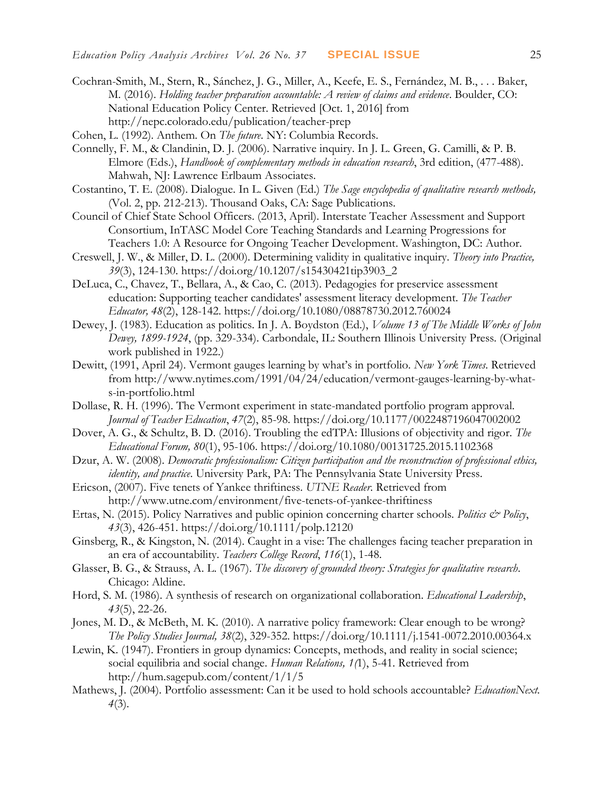- Cochran-Smith, M., Stern, R., Sánchez, J. G., Miller, A., Keefe, E. S., Fernández, M. B., . . . Baker, M. (2016). *Holding teacher preparation accountable: A review of claims and evidence*. Boulder, CO: National Education Policy Center. Retrieved [Oct. 1, 2016] from http://nepc.colorado.edu/publication/teacher-prep
- Cohen, L. (1992). Anthem. On *The future*. NY: Columbia Records.
- Connelly, F. M., & Clandinin, D. J. (2006). Narrative inquiry. In J. L. Green, G. Camilli, & P. B. Elmore (Eds.), *Handbook of complementary methods in education research*, 3rd edition, (477-488). Mahwah, NJ: Lawrence Erlbaum Associates.
- Costantino, T. E. (2008). Dialogue. In L. Given (Ed.) *The Sage encyclopedia of qualitative research methods,*  (Vol. 2, pp. 212-213). Thousand Oaks, CA: Sage Publications.
- Council of Chief State School Officers. (2013, April). Interstate Teacher Assessment and Support Consortium, InTASC Model Core Teaching Standards and Learning Progressions for Teachers 1.0: A Resource for Ongoing Teacher Development. Washington, DC: Author.
- Creswell, J. W., & Miller, D. L. (2000). Determining validity in qualitative inquiry. *Theory into Practice, 39*(3), 124-130. https://doi.org/10.1207/s15430421tip3903\_2
- DeLuca, C., Chavez, T., Bellara, A., & Cao, C. (2013). Pedagogies for preservice assessment education: Supporting teacher candidates' assessment literacy development. *The Teacher Educator, 48*(2), 128-142. https://doi.org/10.1080/08878730.2012.760024
- Dewey, J. (1983). Education as politics. In J. A. Boydston (Ed.), *Volume 13 of The Middle Works of John Dewey, 1899-1924*, (pp. 329-334). Carbondale, IL: Southern Illinois University Press. (Original work published in 1922.)
- Dewitt, (1991, April 24). Vermont gauges learning by what's in portfolio. *New York Times*. Retrieved from http://www.nytimes.com/1991/04/24/education/vermont-gauges-learning-by-whats-in-portfolio.html
- Dollase, R. H. (1996). The Vermont experiment in state-mandated portfolio program approval. *Journal of Teacher Education*, *47*(2), 85-98. https://doi.org/10.1177/0022487196047002002
- Dover, A. G., & Schultz, B. D. (2016). Troubling the edTPA: Illusions of objectivity and rigor. *The Educational Forum, 80*(1), 95-106. https://doi.org/10.1080/00131725.2015.1102368
- Dzur, A. W. (2008). *Democratic professionalism: Citizen participation and the reconstruction of professional ethics, identity, and practice*. University Park, PA: The Pennsylvania State University Press.
- Ericson, (2007). Five tenets of Yankee thriftiness. *UTNE Reader*. Retrieved from http://www.utne.com/environment/five-tenets-of-yankee-thriftiness
- Ertas, N. (2015). Policy Narratives and public opinion concerning charter schools. *Politics & Policy*, *43*(3), 426-451. https://doi.org/10.1111/polp.12120
- Ginsberg, R., & Kingston, N. (2014). Caught in a vise: The challenges facing teacher preparation in an era of accountability. *Teachers College Record*, *116*(1), 1-48.
- Glasser, B. G., & Strauss, A. L. (1967). *The discovery of grounded theory: Strategies for qualitative research*. Chicago: Aldine.
- Hord, S. M. (1986). A synthesis of research on organizational collaboration. *Educational Leadership*, *43*(5), 22-26.
- Jones, M. D., & McBeth, M. K. (2010). A narrative policy framework: Clear enough to be wrong? *The Policy Studies Journal, 38*(2), 329-352. https://doi.org/10.1111/j.1541-0072.2010.00364.x
- Lewin, K. (1947). Frontiers in group dynamics: Concepts, methods, and reality in social science; social equilibria and social change. *Human Relations, 1(*1), 5-41. Retrieved from http://hum.sagepub.com/content/1/1/5
- Mathews, J. (2004). Portfolio assessment: Can it be used to hold schools accountable? *EducationNext. 4*(3).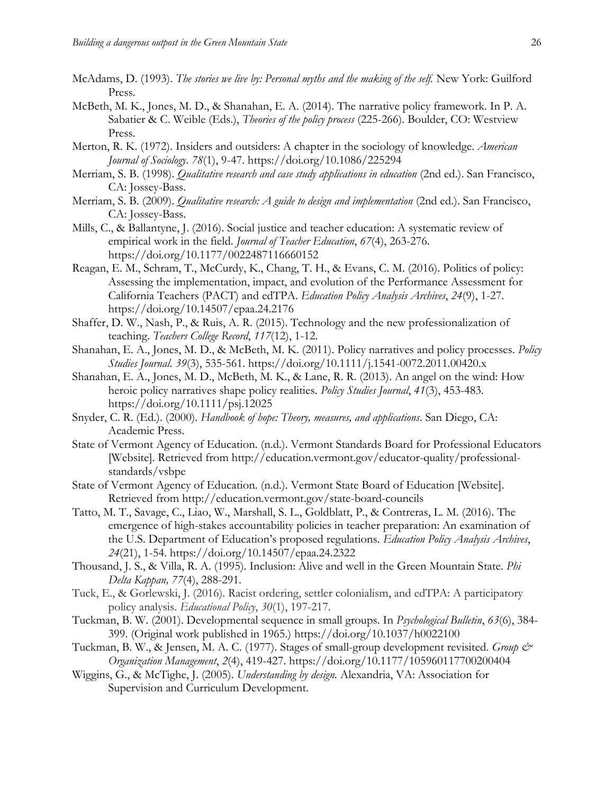- McAdams, D. (1993). *The stories we live by: Personal myths and the making of the self.* New York: Guilford Press.
- McBeth, M. K., Jones, M. D., & Shanahan, E. A. (2014). The narrative policy framework. In P. A. Sabatier & C. Weible (Eds.), *Theories of the policy process* (225-266). Boulder, CO: Westview Press.
- Merton, R. K. (1972). Insiders and outsiders: A chapter in the sociology of knowledge. *American Journal of Sociology*. *78*(1), 9-47. https://doi.org/10.1086/225294
- Merriam, S. B. (1998). *Qualitative research and case study applications in education* (2nd ed.). San Francisco, CA: Jossey-Bass.
- Merriam, S. B. (2009). *Qualitative research: A guide to design and implementation* (2nd ed.). San Francisco, CA: Jossey-Bass.
- Mills, C., & Ballantyne, J. (2016). Social justice and teacher education: A systematic review of empirical work in the field. *Journal of Teacher Education*, *67*(4), 263-276. https://doi.org/10.1177/0022487116660152
- Reagan, E. M., Schram, T., McCurdy, K., Chang, T. H., & Evans, C. M. (2016). Politics of policy: Assessing the implementation, impact, and evolution of the Performance Assessment for California Teachers (PACT) and edTPA. *Education Policy Analysis Archives*, *24*(9), 1-27. https://doi.org/10.14507/epaa.24.2176
- Shaffer, D. W., Nash, P., & Ruis, A. R. (2015). Technology and the new professionalization of teaching. *Teachers College Record*, *117*(12), 1-12.
- Shanahan, E. A., Jones, M. D., & McBeth, M. K. (2011). Policy narratives and policy processes. *Policy Studies Journal*. *39*(3), 535-561. https://doi.org/10.1111/j.1541-0072.2011.00420.x
- Shanahan, E. A., Jones, M. D., McBeth, M. K., & Lane, R. R. (2013). An angel on the wind: How heroic policy narratives shape policy realities. *Policy Studies Journal*, *41*(3), 453-483. https://doi.org/10.1111/psj.12025
- Snyder, C. R. (Ed.). (2000). *Handbook of hope: Theory, measures, and applications*. San Diego, CA: Academic Press.
- State of Vermont Agency of Education. (n.d.). Vermont Standards Board for Professional Educators [Website]. Retrieved from http://education.vermont.gov/educator-quality/professionalstandards/vsbpe
- State of Vermont Agency of Education. (n.d.). Vermont State Board of Education [Website]. Retrieved from http://education.vermont.gov/state-board-councils
- Tatto, M. T., Savage, C., Liao, W., Marshall, S. L., Goldblatt, P., & Contreras, L. M. (2016). The emergence of high-stakes accountability policies in teacher preparation: An examination of the U.S. Department of Education's proposed regulations. *Education Policy Analysis Archives*, *24*(21), 1-54. https://doi.org/10.14507/epaa.24.2322
- Thousand, J. S., & Villa, R. A. (1995). Inclusion: Alive and well in the Green Mountain State. *Phi Delta Kappan, 77*(4), 288-291.
- Tuck, E., & Gorlewski, J. (2016). Racist ordering, settler colonialism, and edTPA: A participatory policy analysis. *Educational Policy*, *30*(1), 197-217.
- Tuckman, B. W. (2001). Developmental sequence in small groups. In *Psychological Bulletin*, *63*(6), 384- 399. (Original work published in 1965.) https://doi.org/10.1037/h0022100
- Tuckman, B. W., & Jensen, M. A. C. (1977). Stages of small-group development revisited. *Group & Organization Management*, *2*(4), 419-427. https://doi.org/10.1177/105960117700200404
- Wiggins, G., & McTighe, J. (2005). *Understanding by design.* Alexandria, VA: Association for Supervision and Curriculum Development.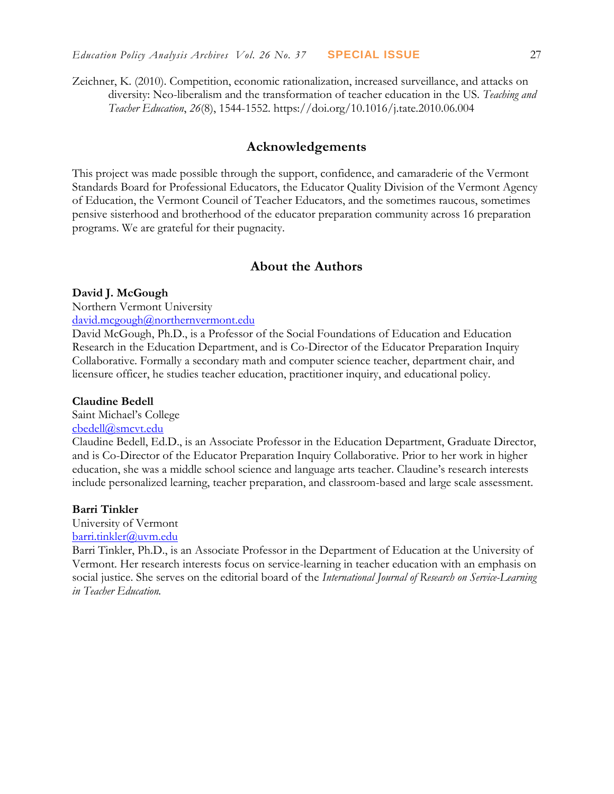Zeichner, K. (2010). Competition, economic rationalization, increased surveillance, and attacks on diversity: Neo-liberalism and the transformation of teacher education in the US. *Teaching and Teacher Education*, *26*(8), 1544-1552. https://doi.org/10.1016/j.tate.2010.06.004

#### **Acknowledgements**

This project was made possible through the support, confidence, and camaraderie of the Vermont Standards Board for Professional Educators, the Educator Quality Division of the Vermont Agency of Education, the Vermont Council of Teacher Educators, and the sometimes raucous, sometimes pensive sisterhood and brotherhood of the educator preparation community across 16 preparation programs. We are grateful for their pugnacity.

#### **About the Authors**

#### **David J. McGough**

Northern Vermont University

[david.mcgough@northernvermont.edu](mailto:david.mcgough@northernvermont.edu)

David McGough, Ph.D., is a Professor of the Social Foundations of Education and Education Research in the Education Department, and is Co-Director of the Educator Preparation Inquiry Collaborative. Formally a secondary math and computer science teacher, department chair, and licensure officer, he studies teacher education, practitioner inquiry, and educational policy.

#### **Claudine Bedell**

Saint Michael's College

#### [cbedell@smcvt.edu](mailto:cbedell@smcvt.edu)

Claudine Bedell, Ed.D., is an Associate Professor in the Education Department, Graduate Director, and is Co-Director of the Educator Preparation Inquiry Collaborative. Prior to her work in higher education, she was a middle school science and language arts teacher. Claudine's research interests include personalized learning, teacher preparation, and classroom-based and large scale assessment.

#### **Barri Tinkler**

University of Vermont [barri.tinkler@uvm.edu](mailto:barri.tinkler@uvm.edu)

Barri Tinkler, Ph.D., is an Associate Professor in the Department of Education at the University of Vermont. Her research interests focus on service-learning in teacher education with an emphasis on social justice. She serves on the editorial board of the *International Journal of Research on Service-Learning in Teacher Education.*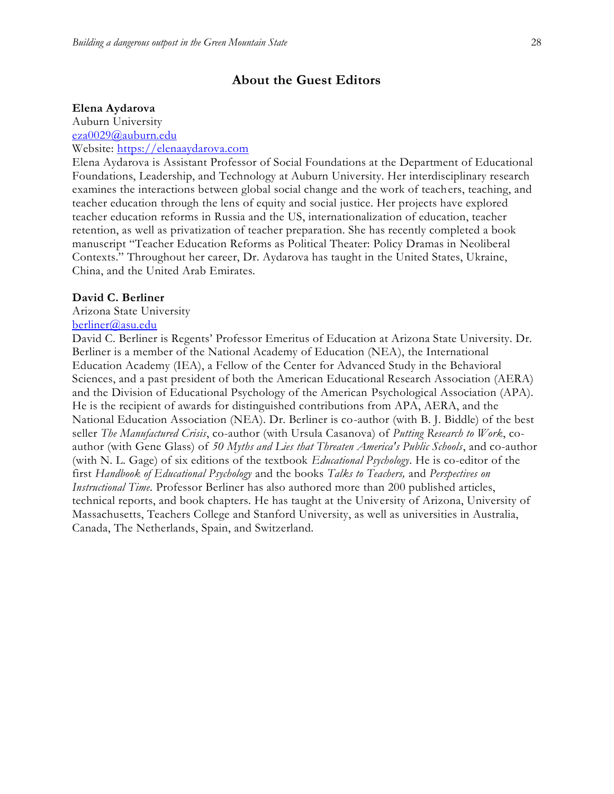#### **About the Guest Editors**

#### **Elena Aydarova**

Auburn University [eza0029@auburn.edu](mailto:eza0029@auburn.edu)

Website: [https://elenaaydarova.com](https://elenaaydarova.com/)

Elena Aydarova is Assistant Professor of Social Foundations at the Department of Educational Foundations, Leadership, and Technology at Auburn University. Her interdisciplinary research examines the interactions between global social change and the work of teachers, teaching, and teacher education through the lens of equity and social justice. Her projects have explored teacher education reforms in Russia and the US, internationalization of education, teacher retention, as well as privatization of teacher preparation. She has recently completed a book manuscript "Teacher Education Reforms as Political Theater: Policy Dramas in Neoliberal Contexts." Throughout her career, Dr. Aydarova has taught in the United States, Ukraine, China, and the United Arab Emirates.

#### **David C. Berliner**

Arizona State University

#### [berliner@asu.edu](mailto:berliner@asu.edu)

David C. Berliner is Regents' Professor Emeritus of Education at Arizona State University. Dr. Berliner is a member of the National Academy of Education (NEA), the International Education Academy (IEA), a Fellow of the Center for Advanced Study in the Behavioral Sciences, and a past president of both the American Educational Research Association (AERA) and the Division of Educational Psychology of the American Psychological Association (APA). He is the recipient of awards for distinguished contributions from APA, AERA, and the National Education Association (NEA). Dr. Berliner is co-author (with B. J. Biddle) of the best seller *The Manufactured Crisis*, co-author (with Ursula Casanova) of *Putting Research to Work*, coauthor (with Gene Glass) of *50 Myths and Lies that Threaten America's Public Schools*, and co-author (with N. L. Gage) of six editions of the textbook *Educational Psychology*. He is co-editor of the first *Handbook of Educational Psychology* and the books *Talks to Teachers,* and *Perspectives on Instructional Time*. Professor Berliner has also authored more than 200 published articles, technical reports, and book chapters. He has taught at the University of Arizona, University of Massachusetts, Teachers College and Stanford University, as well as universities in Australia, Canada, The Netherlands, Spain, and Switzerland.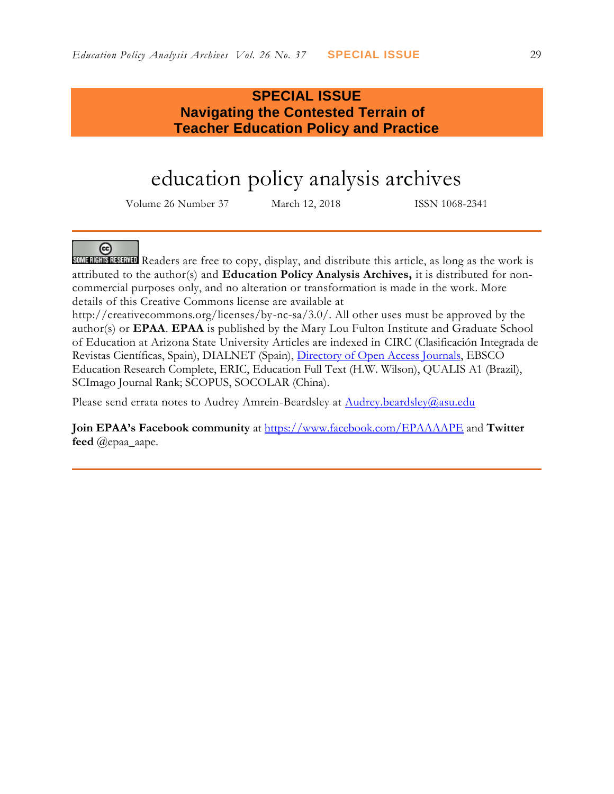# **SPECIAL ISSUE Navigating the Contested Terrain of Teacher Education Policy and Practice**

# education policy analysis archives

Volume 26 Number 37 March 12, 2018 ISSN 1068-2341



**SOME RIGHTS RESERVED** Readers are free to copy, display, and distribute this article, as long as the work is attributed to the author(s) and **Education Policy Analysis Archives,** it is distributed for noncommercial purposes only, and no alteration or transformation is made in the work. More details of this Creative Commons license are available at

http://creativecommons.org/licenses/by-nc-sa/3.0/. All other uses must be approved by the author(s) or **EPAA**. **EPAA** is published by the Mary Lou Fulton Institute and Graduate School of Education at Arizona State University Articles are indexed in CIRC (Clasificación Integrada de Revistas Científicas, Spain), DIALNET (Spain), [Directory of Open Access Journals,](http://www.doaj.org/) EBSCO Education Research Complete, ERIC, Education Full Text (H.W. Wilson), QUALIS A1 (Brazil), SCImago Journal Rank; SCOPUS, SOCOLAR (China).

Please send errata notes to Audrey Amrein-Beardsley at Audrey.beardsley@asu.edu

**Join EPAA's Facebook community** at<https://www.facebook.com/EPAAAAPE> and **Twitter feed** @epaa\_aape.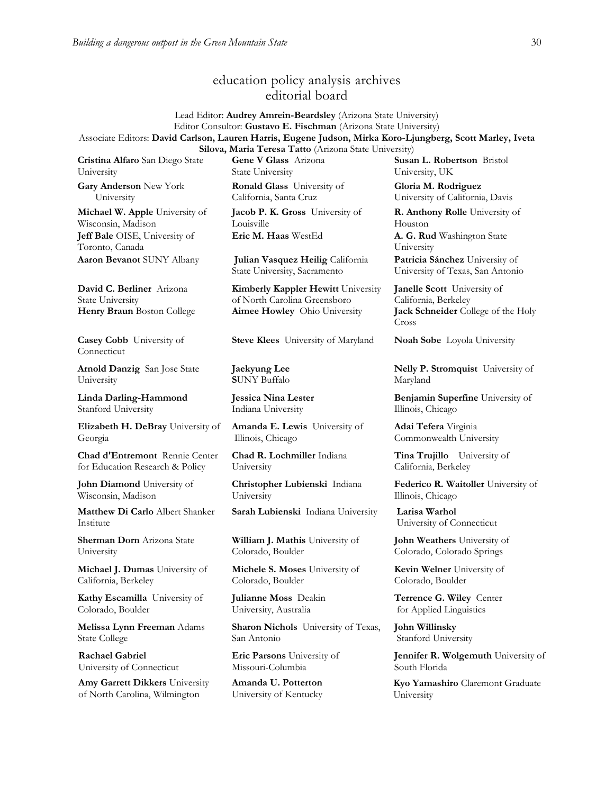### education policy analysis archives editorial board

Lead Editor: **Audrey Amrein-Beardsley** (Arizona State University) Editor Consultor: **Gustavo E. Fischman** (Arizona State University) Associate Editors: **David Carlson, Lauren Harris, Eugene Judson, Mirka Koro-Ljungberg, Scott Marley, Iveta** 

**Cristina Alfaro** San Diego State University

**Gary Anderson** New York University

**Michael W. Apple** University of Wisconsin, Madison **Jeff Bale** OISE, University of Toronto, Canada **Aaron Bevanot** SUNY Albany **Julian Vasquez Heilig** California

**David C. Berliner** Arizona State University

**Casey Cobb** University of Connecticut

**Arnold Danzig** San Jose State University

**Linda Darling-Hammond**  Stanford University

**Elizabeth H. DeBray** University of Georgia

**Chad d'Entremont** Rennie Center for Education Research & Policy

**John Diamond** University of Wisconsin, Madison

**Matthew Di Carlo** Albert Shanker Institute

**Sherman Dorn** Arizona State University

**Michael J. Dumas** University of California, Berkeley

**Kathy Escamilla** University of Colorado, Boulder

**Melissa Lynn Freeman** Adams State College

**Rachael Gabriel** University of Connecticut

**Amy Garrett Dikkers** University of North Carolina, Wilmington

**Silova, Maria Teresa Tatto** (Arizona State University) **Gene V Glass** Arizona State University

> **Ronald Glass** University of California, Santa Cruz

**Jacob P. K. Gross** University of Louisville **Eric M. Haas** WestEd **A. G. Rud** Washington State

State University, Sacramento

**Kimberly Kappler Hewitt** University of North Carolina Greensboro **Henry Braun** Boston College **Aimee Howley** Ohio University **Jack Schneider** College of the Holy

**Steve Klees** University of Maryland **Noah Sobe** Loyola University

**Jaekyung Lee S**UNY Buffalo

**Jessica Nina Lester** Indiana University

**Amanda E. Lewis** University of Illinois, Chicago

**Chad R. Lochmiller** Indiana University

**Christopher Lubienski** Indiana University

**Sarah Lubienski** Indiana University **Larisa Warhol**

**William J. Mathis** University of Colorado, Boulder

**Michele S. Moses** University of Colorado, Boulder

**Julianne Moss** Deakin University, Australia

**Sharon Nichols** University of Texas, San Antonio

**Eric Parsons** University of Missouri-Columbia

**Amanda U. Potterton** University of Kentucky

**Susan L. Robertson** Bristol University, UK

**Gloria M. Rodriguez** University of California, Davis

**R. Anthony Rolle** University of Houston

University

**Patricia Sánchez** University of University of Texas, San Antonio

**Janelle Scott** University of California, Berkeley Cross

**Nelly P. Stromquist** University of Maryland

**Benjamin Superfine** University of Illinois, Chicago

**Adai Tefera** Virginia Commonwealth University

**Tina Trujillo** University of California, Berkeley

**Federico R. Waitoller** University of Illinois, Chicago

University of Connecticut

**John Weathers** University of Colorado, Colorado Springs

**Kevin Welner** University of Colorado, Boulder

**Terrence G. Wiley** Center for Applied Linguistics

**John Willinsky**  Stanford University

**Jennifer R. Wolgemuth University of** South Florida

**Kyo Yamashiro** Claremont Graduate University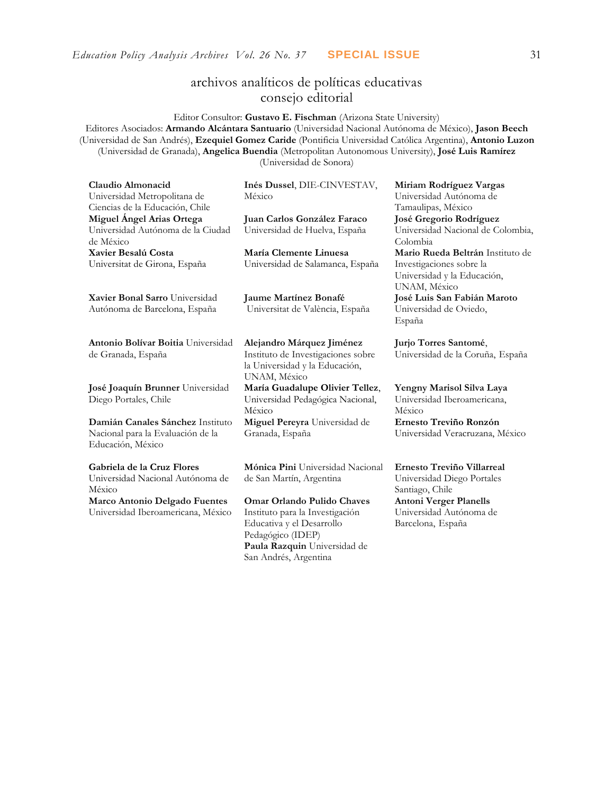# archivos analíticos de políticas educativas consejo editorial

Editor Consultor: **Gustavo E. Fischman** (Arizona State University)

Editores Asociados: **Armando Alcántara Santuario** (Universidad Nacional Autónoma de México), **Jason Beech** (Universidad de San Andrés), **Ezequiel Gomez Caride** (Pontificia Universidad Católica Argentina), **Antonio Luzon** (Universidad de Granada), **Angelica Buendia** (Metropolitan Autonomous University), **José Luis Ramírez** (Universidad de Sonora)

| Claudio Almonacid                                               | Inés Dussel, DIE-CINVESTAV,                                                          | Miriam Rodríguez Vargas                                                 |
|-----------------------------------------------------------------|--------------------------------------------------------------------------------------|-------------------------------------------------------------------------|
| Universidad Metropolitana de<br>Ciencias de la Educación, Chile | México                                                                               | Universidad Autónoma de<br>Tamaulipas, México                           |
| Miguel Angel Arias Ortega                                       | Juan Carlos González Faraco                                                          | José Gregorio Rodríguez                                                 |
| Universidad Autónoma de la Ciudad<br>de México                  | Universidad de Huelva, España                                                        | Universidad Nacional de Colombia,<br>Colombia                           |
| Xavier Besalú Costa                                             | María Clemente Linuesa                                                               | Mario Rueda Beltrán Instituto de                                        |
| Universitat de Girona, España                                   | Universidad de Salamanca, España                                                     | Investigaciones sobre la<br>Universidad y la Educación,<br>UNAM, México |
| Xavier Bonal Sarro Universidad                                  | Jaume Martínez Bonafé                                                                | José Luis San Fabián Maroto                                             |
| Autónoma de Barcelona, España                                   | Universitat de València, España                                                      | Universidad de Oviedo,<br>España                                        |
| Antonio Bolívar Boitia Universidad                              | Alejandro Márquez Jiménez                                                            | Jurjo Torres Santomé,                                                   |
| de Granada, España                                              | Instituto de Investigaciones sobre<br>la Universidad y la Educación,<br>UNAM, México | Universidad de la Coruña, España                                        |
| José Joaquín Brunner Universidad<br>Diego Portales, Chile       | María Guadalupe Olivier Tellez,<br>Universidad Pedagógica Nacional,<br>México        | Yengny Marisol Silva Laya<br>Universidad Iberoamericana,<br>México      |
| Damián Canales Sánchez Instituto                                | Miguel Pereyra Universidad de                                                        | Ernesto Treviño Ronzón                                                  |
| Nacional para la Evaluación de la<br>Educación, México          | Granada, España                                                                      | Universidad Veracruzana, México                                         |
| Gabriela de la Cruz Flores                                      | Mónica Pini Universidad Nacional                                                     | Ernesto Treviño Villarreal                                              |
| Universidad Nacional Autónoma de<br>México                      | de San Martín, Argentina                                                             | Universidad Diego Portales<br>Santiago, Chile                           |
| Marco Antonio Delgado Fuentes                                   | Omar Orlando Pulido Chaves                                                           | <b>Antoni Verger Planells</b>                                           |
| Universidad Iberoamericana, México                              | Instituto para la Investigación                                                      | Universidad Autónoma de                                                 |
|                                                                 | Educativa y el Desarrollo<br>Pedagógico (IDEP)                                       | Barcelona, España                                                       |
|                                                                 | Paula Razquin Universidad de                                                         |                                                                         |
|                                                                 | San Andrés, Argentina                                                                |                                                                         |